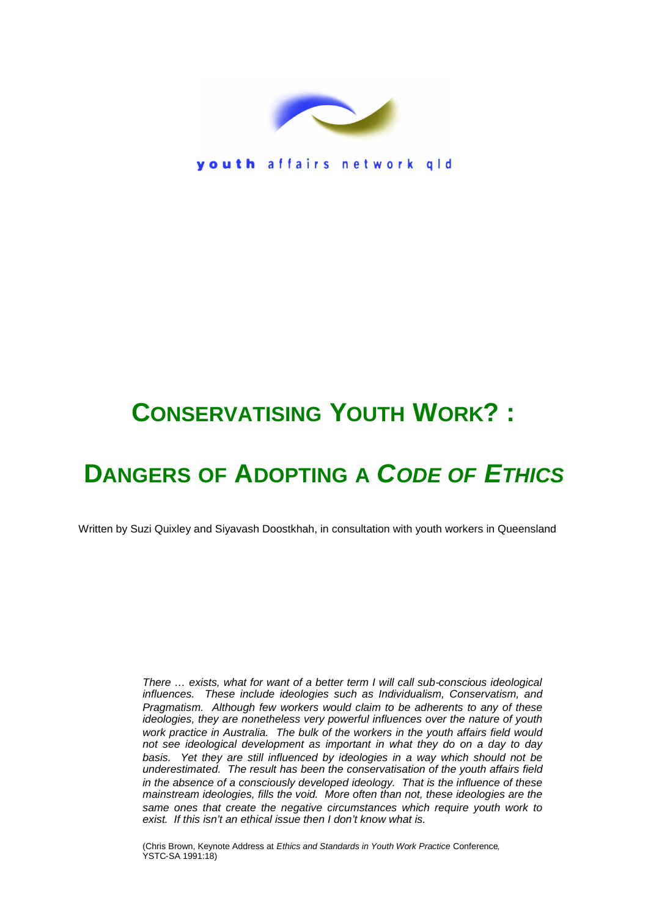

youth affairs network gld

# **CONSERVATISING YOUTH WORK? :**

# **DANGERS OF ADOPTING A** *CODE OF ETHICS*

Written by Suzi Quixley and Siyavash Doostkhah, in consultation with youth workers in Queensland

*There … exists, what for want of a better term I will call sub-conscious ideological influences. These include ideologies such as Individualism, Conservatism, and Pragmatism. Although few workers would claim to be adherents to any of these ideologies, they are nonetheless very powerful influences over the nature of youth work practice in Australia. The bulk of the workers in the youth affairs field would not see ideological development as important in what they do on a day to day basis. Yet they are still influenced by ideologies in a way which should not be underestimated. The result has been the conservatisation of the youth affairs field in the absence of a consciously developed ideology. That is the influence of these mainstream ideologies, fills the void. More often than not, these ideologies are the same ones that create the negative circumstances which require youth work to exist. If this isn't an ethical issue then I don't know what is.*

(Chris Brown, Keynote Address at *Ethics and Standards in Youth Work Practice* Conference*,* YSTC-SA 1991:18)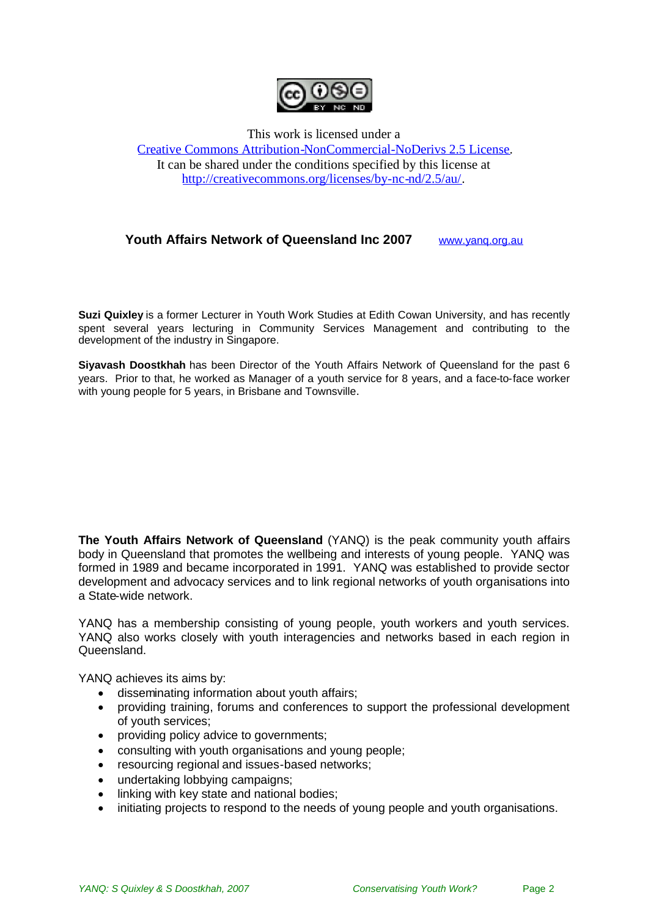

This work is licensed under a [Creative Commons Attribution-NonCommercial-NoDerivs 2.5 License.](http://creativecommons.org/licenses/by-nc-nd/2.5/au/) It can be shared under the conditions specified by this license at [http://creativecommons.org/licenses/by-nc-nd/2.5/au/.](http://creativecommons.org/licenses/by-nc-nd/2.5/au/)

#### **Youth Affairs Network of Queensland Inc 2007** [www.yanq.org.au](http://www.yanq.org.au/)

**Suzi Quixley** is a former Lecturer in Youth Work Studies at Edith Cowan University, and has recently spent several years lecturing in Community Services Management and contributing to the development of the industry in Singapore.

**Siyavash Doostkhah** has been Director of the Youth Affairs Network of Queensland for the past 6 years. Prior to that, he worked as Manager of a youth service for 8 years, and a face-to-face worker with young people for 5 years, in Brisbane and Townsville.

**The Youth Affairs Network of Queensland** (YANQ) is the peak community youth affairs body in Queensland that promotes the wellbeing and interests of young people. YANQ was formed in 1989 and became incorporated in 1991. YANQ was established to provide sector development and advocacy services and to link regional networks of youth organisations into a State-wide network.

YANQ has a membership consisting of young people, youth workers and youth services. YANQ also works closely with youth interagencies and networks based in each region in Queensland.

YANQ achieves its aims by:

- disseminating information about youth affairs;
- providing training, forums and conferences to support the professional development of youth services;
- providing policy advice to governments;
- consulting with youth organisations and young people;
- resourcing regional and issues-based networks;
- undertaking lobbying campaigns;
- linking with key state and national bodies;
- $\bullet$  initiating projects to respond to the needs of young people and youth organisations.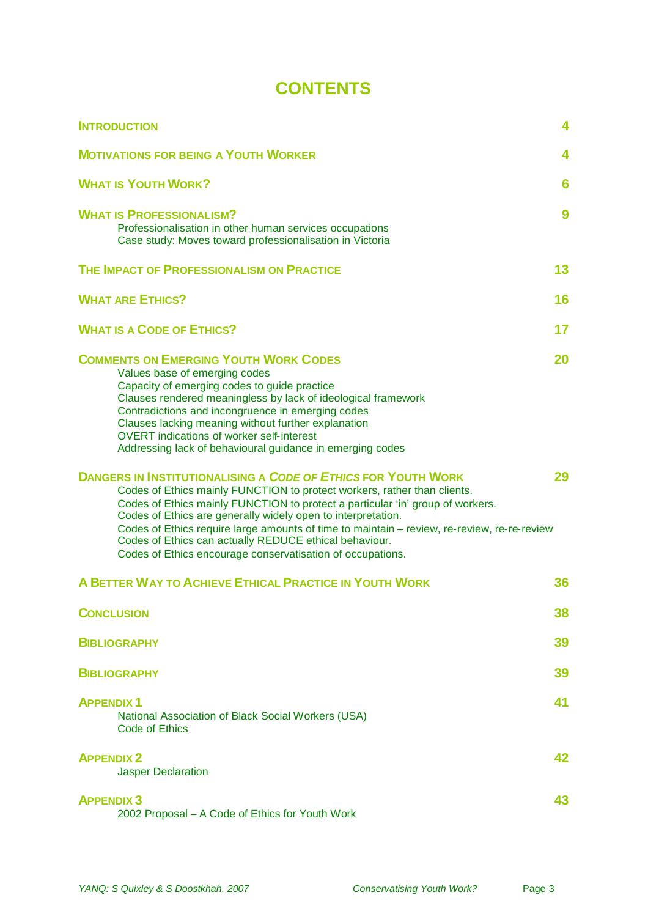# **CONTENTS**

| <b>INTRODUCTION</b>                                                                                                                                                                                                                                                                                                                                                                                                                                                                                                       | 4  |
|---------------------------------------------------------------------------------------------------------------------------------------------------------------------------------------------------------------------------------------------------------------------------------------------------------------------------------------------------------------------------------------------------------------------------------------------------------------------------------------------------------------------------|----|
| <b>MOTIVATIONS FOR BEING A YOUTH WORKER</b>                                                                                                                                                                                                                                                                                                                                                                                                                                                                               | 4  |
| <b>WHAT IS YOUTH WORK?</b>                                                                                                                                                                                                                                                                                                                                                                                                                                                                                                | 6  |
| <b>WHAT IS PROFESSIONALISM?</b><br>Professionalisation in other human services occupations<br>Case study: Moves toward professionalisation in Victoria                                                                                                                                                                                                                                                                                                                                                                    | 9  |
| THE IMPACT OF PROFESSIONALISM ON PRACTICE                                                                                                                                                                                                                                                                                                                                                                                                                                                                                 | 13 |
| <b>WHAT ARE ETHICS?</b>                                                                                                                                                                                                                                                                                                                                                                                                                                                                                                   | 16 |
| <b>WHAT IS A CODE OF ETHICS?</b>                                                                                                                                                                                                                                                                                                                                                                                                                                                                                          | 17 |
| <b>COMMENTS ON EMERGING YOUTH WORK CODES</b><br>Values base of emerging codes<br>Capacity of emerging codes to guide practice<br>Clauses rendered meaningless by lack of ideological framework<br>Contradictions and incongruence in emerging codes<br>Clauses lacking meaning without further explanation<br><b>OVERT</b> indications of worker self-interest<br>Addressing lack of behavioural guidance in emerging codes                                                                                               | 20 |
| <b>DANGERS IN INSTITUTIONALISING A CODE OF ETHICS FOR YOUTH WORK</b><br>Codes of Ethics mainly FUNCTION to protect workers, rather than clients.<br>Codes of Ethics mainly FUNCTION to protect a particular 'in' group of workers.<br>Codes of Ethics are generally widely open to interpretation.<br>Codes of Ethics require large amounts of time to maintain - review, re-review, re-re-review<br>Codes of Ethics can actually REDUCE ethical behaviour.<br>Codes of Ethics encourage conservatisation of occupations. | 29 |
| A BETTER WAY TO ACHIEVE ETHICAL PRACTICE IN YOUTH WORK                                                                                                                                                                                                                                                                                                                                                                                                                                                                    | 36 |
| <b>CONCLUSION</b>                                                                                                                                                                                                                                                                                                                                                                                                                                                                                                         | 38 |
| <b>BIBLIOGRAPHY</b>                                                                                                                                                                                                                                                                                                                                                                                                                                                                                                       | 39 |
| <b>BIBLIOGRAPHY</b>                                                                                                                                                                                                                                                                                                                                                                                                                                                                                                       | 39 |
| <b>APPENDIX 1</b><br>National Association of Black Social Workers (USA)<br><b>Code of Ethics</b>                                                                                                                                                                                                                                                                                                                                                                                                                          | 41 |
| <b>APPENDIX 2</b><br><b>Jasper Declaration</b>                                                                                                                                                                                                                                                                                                                                                                                                                                                                            | 42 |
| <b>APPENDIX 3</b><br>2002 Proposal - A Code of Ethics for Youth Work                                                                                                                                                                                                                                                                                                                                                                                                                                                      | 43 |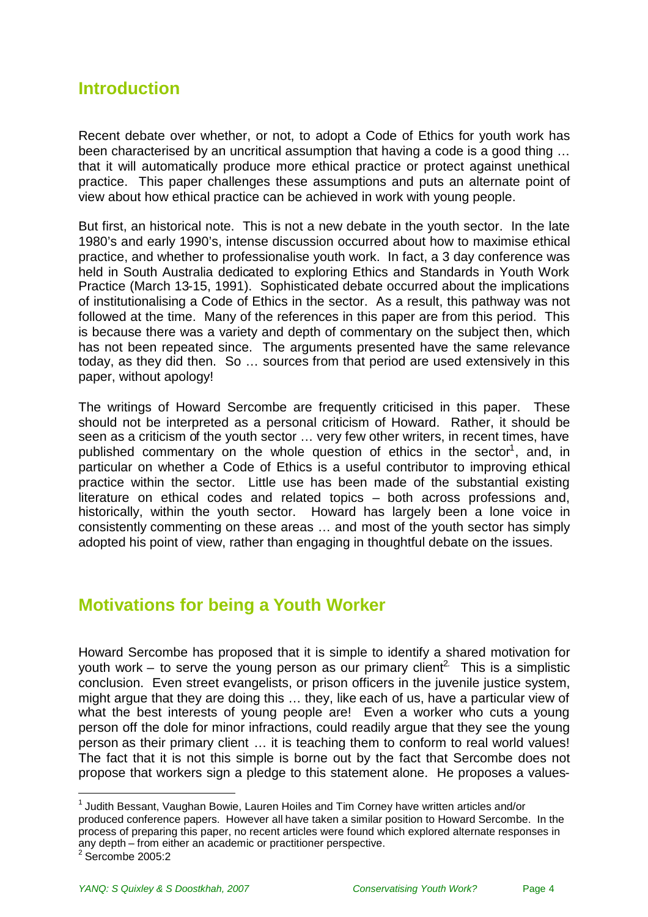## <span id="page-3-0"></span>**Introduction**

Recent debate over whether, or not, to adopt a Code of Ethics for youth work has been characterised by an uncritical assumption that having a code is a good thing … that it will automatically produce more ethical practice or protect against unethical practice. This paper challenges these assumptions and puts an alternate point of view about how ethical practice can be achieved in work with young people.

But first, an historical note. This is not a new debate in the youth sector. In the late 1980's and early 1990's, intense discussion occurred about how to maximise ethical practice, and whether to professionalise youth work. In fact, a 3 day conference was held in South Australia dedicated to exploring Ethics and Standards in Youth Work Practice (March 13-15, 1991). Sophisticated debate occurred about the implications of institutionalising a Code of Ethics in the sector. As a result, this pathway was not followed at the time. Many of the references in this paper are from this period. This is because there was a variety and depth of commentary on the subject then, which has not been repeated since. The arguments presented have the same relevance today, as they did then. So … sources from that period are used extensively in this paper, without apology!

The writings of Howard Sercombe are frequently criticised in this paper. These should not be interpreted as a personal criticism of Howard. Rather, it should be seen as a criticism of the youth sector … very few other writers, in recent times, have published commentary on the whole question of ethics in the sector<sup>[1](#page-3-2)</sup>, and, in particular on whether a Code of Ethics is a useful contributor to improving ethical practice within the sector. Little use has been made of the substantial existing literature on ethical codes and related topics – both across professions and, historically, within the youth sector. Howard has largely been a lone voice in consistently commenting on these areas … and most of the youth sector has simply adopted his point of view, rather than engaging in thoughtful debate on the issues.

## <span id="page-3-1"></span>**Motivations for being a Youth Worker**

Howard Sercombe has proposed that it is simple to identify a shared motivation for youth work – to serve the young person as our primary client<sup>2</sup>. This is a simplistic conclusion. Even street evangelists, or prison officers in the juvenile justice system, might argue that they are doing this … they, like each of us, have a particular view of what the best interests of young people are! Even a worker who cuts a young person off the dole for minor infractions, could readily argue that they see the young person as their primary client … it is teaching them to conform to real world values! The fact that it is not this simple is borne out by the fact that Sercombe does not propose that workers sign a pledge to this statement alone. He proposes a values-

<span id="page-3-2"></span><sup>&</sup>lt;sup>1</sup> Judith Bessant, Vaughan Bowie, Lauren Hoiles and Tim Corney have written articles and/or produced conference papers. However all have taken a similar position to Howard Sercombe. In the process of preparing this paper, no recent articles were found which explored alternate responses in any depth – from either an academic or practitioner perspective. 2 Sercombe 2005:2

<span id="page-3-3"></span>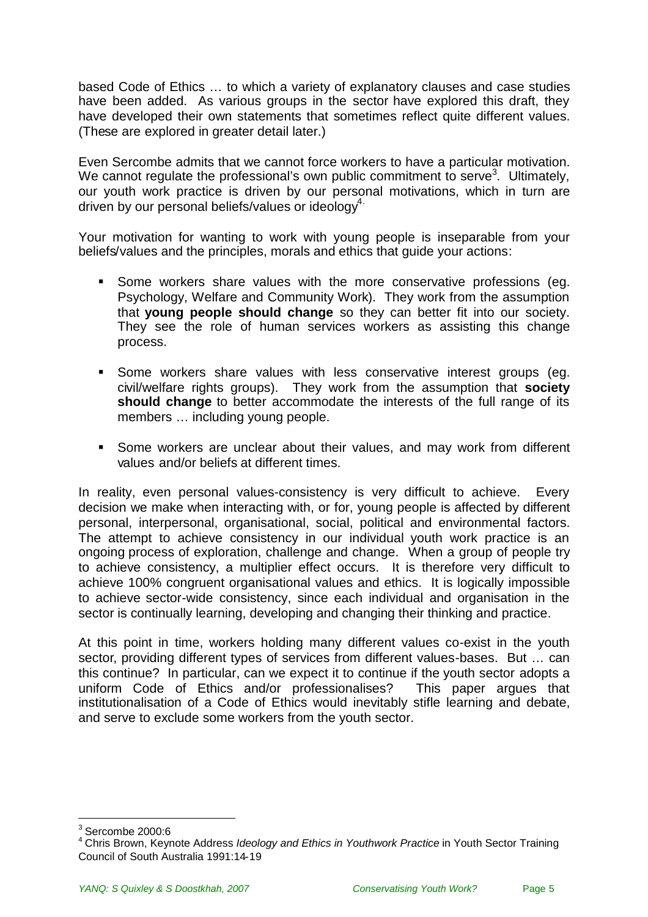based Code of Ethics … to which a variety of explanatory clauses and case studies have been added. As various groups in the sector have explored this draft, they have developed their own statements that sometimes reflect quite different values. (These are explored in greater detail later.)

Even Sercombe admits that we cannot force workers to have a particular motivation. We cannot regulate the professional's own public commitment to serve<sup>[3](#page-4-0)</sup>. Ultimately, our youth work practice is driven by our personal motivations, which in turn are driven by our personal beliefs/values or ideology<sup>[4.](#page-4-1)</sup>

Your motivation for wanting to work with young people is inseparable from your beliefs/values and the principles, morals and ethics that guide your actions:

- Some workers share values with the more conservative professions (eg. Psychology, Welfare and Community Work). They work from the assumption that **young people should change** so they can better fit into our society. They see the role of human services workers as assisting this change process.
- **Some workers share values with less conservative interest groups (eg.** civil/welfare rights groups). They work from the assumption that **society should change** to better accommodate the interests of the full range of its members … including young people.
- Some workers are unclear about their values, and may work from different values and/or beliefs at different times.

In reality, even personal values-consistency is very difficult to achieve. Every decision we make when interacting with, or for, young people is affected by different personal, interpersonal, organisational, social, political and environmental factors. The attempt to achieve consistency in our individual youth work practice is an ongoing process of exploration, challenge and change. When a group of people try to achieve consistency, a multiplier effect occurs. It is therefore very difficult to achieve 100% congruent organisational values and ethics. It is logically impossible to achieve sector-wide consistency, since each individual and organisation in the sector is continually learning, developing and changing their thinking and practice.

At this point in time, workers holding many different values co-exist in the youth sector, providing different types of services from different values-bases. But … can this continue? In particular, can we expect it to continue if the youth sector adopts a uniform Code of Ethics and/or professionalises? This paper argues that institutionalisation of a Code of Ethics would inevitably stifle learning and debate, and serve to exclude some workers from the youth sector.

<span id="page-4-1"></span><span id="page-4-0"></span> $3$  Sercombe 2000:6

<sup>4</sup> Chris Brown, Keynote Address *Ideology and Ethics in Youthwork Practice* in Youth Sector Training Council of South Australia 1991:14-19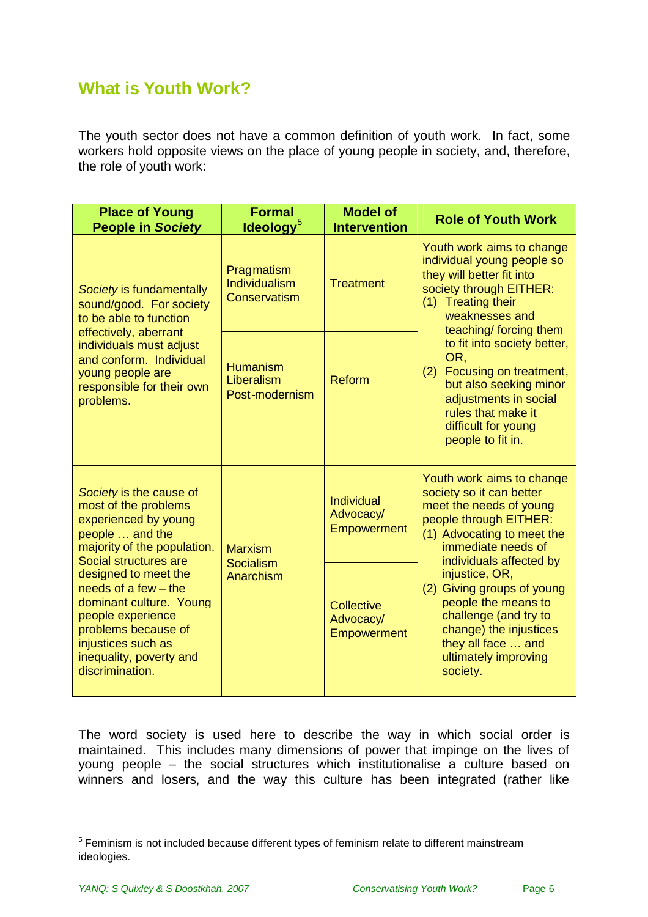# <span id="page-5-0"></span>**What is Youth Work?**

The youth sector does not have a common definition of youth work. In fact, some workers hold opposite views on the place of young people in society, and, therefore, the role of youth work:

| <b>Place of Young</b><br><b>People in Society</b>                                                                                                                                                                                                                                                                                               | <b>Formal</b><br>$l$ deology $5$                | <b>Model of</b><br><b>Intervention</b>               | <b>Role of Youth Work</b>                                                                                                                                                                 |
|-------------------------------------------------------------------------------------------------------------------------------------------------------------------------------------------------------------------------------------------------------------------------------------------------------------------------------------------------|-------------------------------------------------|------------------------------------------------------|-------------------------------------------------------------------------------------------------------------------------------------------------------------------------------------------|
| Society is fundamentally<br>sound/good. For society<br>to be able to function<br>effectively, aberrant<br>individuals must adjust<br>and conform. Individual<br>young people are<br>responsible for their own<br>problems.                                                                                                                      | Pragmatism<br>Individualism<br>Conservatism     | <b>Treatment</b>                                     | Youth work aims to change<br>individual young people so<br>they will better fit into<br>society through EITHER:<br>(1) Treating their<br>weaknesses and<br>teaching/ forcing them         |
|                                                                                                                                                                                                                                                                                                                                                 | <b>Humanism</b><br>Liberalism<br>Post-modernism | Reform                                               | to fit into society better,<br>OR,<br>(2) Focusing on treatment,<br>but also seeking minor<br>adjustments in social<br>rules that make it<br>difficult for young<br>people to fit in.     |
| Society is the cause of<br>most of the problems<br>experienced by young<br>people  and the<br>majority of the population.<br>Social structures are<br>designed to meet the<br>needs of a few $-$ the<br>dominant culture. Young<br>people experience<br>problems because of<br>injustices such as<br>inequality, poverty and<br>discrimination. | <b>Marxism</b><br>Socialism<br>Anarchism        | <b>Individual</b><br>Advocacy/<br><b>Empowerment</b> | Youth work aims to change<br>society so it can better<br>meet the needs of young<br>people through EITHER:<br>(1) Advocating to meet the<br>immediate needs of<br>individuals affected by |
|                                                                                                                                                                                                                                                                                                                                                 |                                                 | Collective<br>Advocacy/<br><b>Empowerment</b>        | injustice, OR,<br>(2) Giving groups of young<br>people the means to<br>challenge (and try to<br>change) the injustices<br>they all face  and<br>ultimately improving<br>society.          |

The word society is used here to describe the way in which social order is maintained. This includes many dimensions of power that impinge on the lives of young people – the social structures which institutionalise a culture based on winners and losers, and the way this culture has been integrated (rather like

<span id="page-5-1"></span><sup>&</sup>lt;sup>5</sup> Feminism is not included because different types of feminism relate to different mainstream ideologies.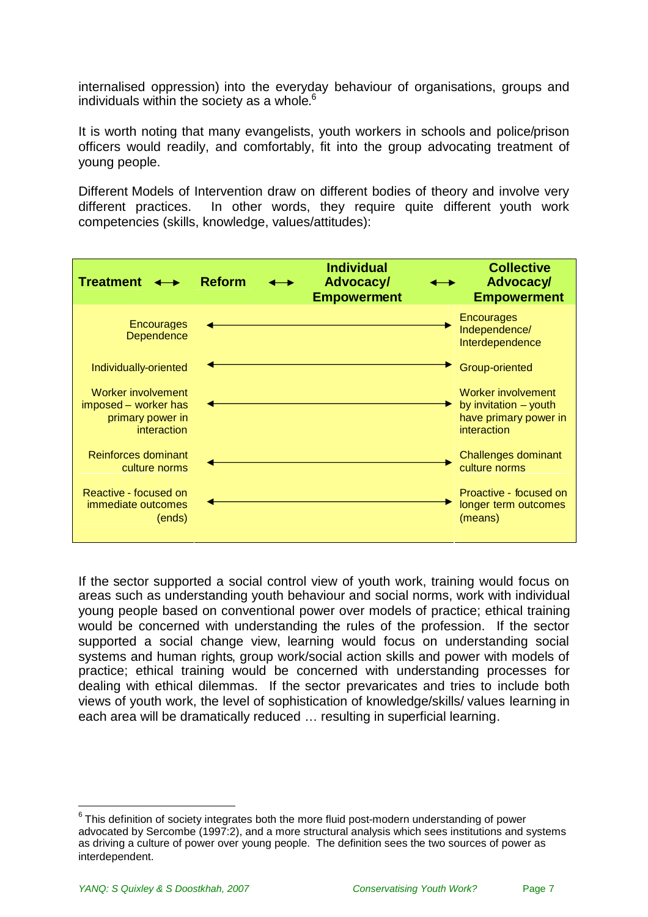internalised oppression) into the everyday behaviour of organisations, groups and individuals within the society as a whole.<sup>[6](#page-6-0)</sup>

It is worth noting that many evangelists, youth workers in schools and police/prison officers would readily, and comfortably, fit into the group advocating treatment of young people.

Different Models of Intervention draw on different bodies of theory and involve very different practices. In other words, they require quite different youth work competencies (skills, knowledge, values/attitudes):



If the sector supported a social control view of youth work, training would focus on areas such as understanding youth behaviour and social norms, work with individual young people based on conventional power over models of practice; ethical training would be concerned with understanding the rules of the profession. If the sector supported a social change view, learning would focus on understanding social systems and human rights, group work/social action skills and power with models of practice; ethical training would be concerned with understanding processes for dealing with ethical dilemmas. If the sector prevaricates and tries to include both views of youth work, the level of sophistication of knowledge/skills/ values learning in each area will be dramatically reduced … resulting in superficial learning.

<span id="page-6-0"></span> $^6$  This definition of society integrates both the more fluid post-modern understanding of power advocated by Sercombe (1997:2), and a more structural analysis which sees institutions and systems as driving a culture of power over young people. The definition sees the two sources of power as interdependent.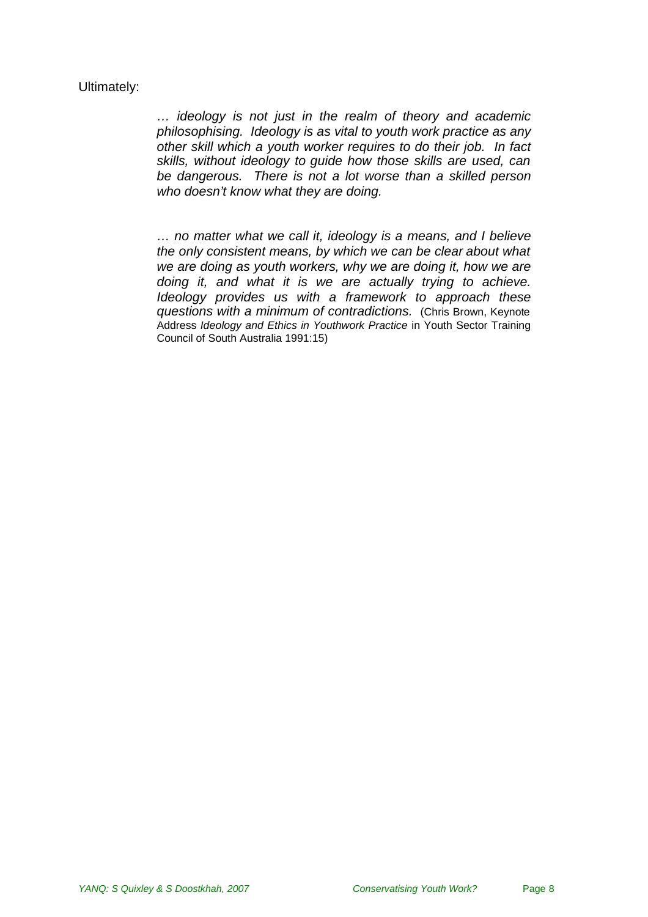#### Ultimately:

*… ideology is not just in the realm of theory and academic philosophising. Ideology is as vital to youth work practice as any other skill which a youth worker requires to do their job. In fact skills, without ideology to guide how those skills are used, can be dangerous. There is not a lot worse than a skilled person who doesn't know what they are doing.*

*… no matter what we call it, ideology is a means, and I believe the only consistent means, by which we can be clear about what we are doing as youth workers, why we are doing it, how we are doing it, and what it is we are actually trying to achieve. Ideology provides us with a framework to approach these questions with a minimum of contradictions.* (Chris Brown, Keynote Address *Ideology and Ethics in Youthwork Practice* in Youth Sector Training Council of South Australia 1991:15)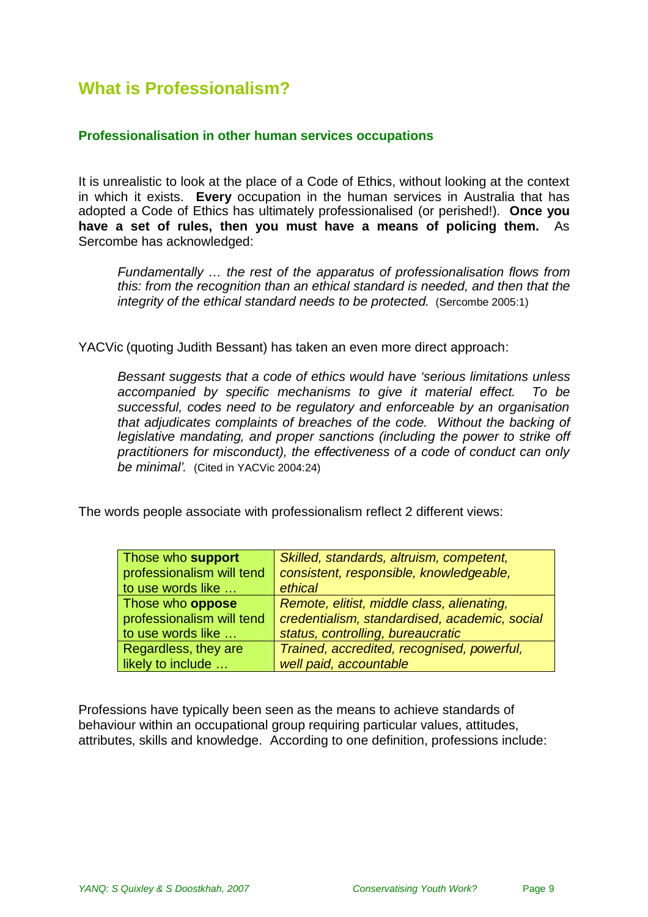# <span id="page-8-0"></span>**What is Professionalism?**

#### **Professionalisation in other human services occupations**

It is unrealistic to look at the place of a Code of Ethics, without looking at the context in which it exists. **Every** occupation in the human services in Australia that has adopted a Code of Ethics has ultimately professionalised (or perished!). **Once you have a set of rules, then you must have a means of policing them.** As Sercombe has acknowledged:

*Fundamentally … the rest of the apparatus of professionalisation flows from this: from the recognition than an ethical standard is needed, and then that the integrity of the ethical standard needs to be protected.* (Sercombe 2005:1)

YACVic (quoting Judith Bessant) has taken an even more direct approach:

*Bessant suggests that a code of ethics would have 'serious limitations unless accompanied by specific mechanisms to give it material effect. To be successful, codes need to be regulatory and enforceable by an organisation that adjudicates complaints of breaches of the code. Without the backing of legislative mandating, and proper sanctions (including the power to strike off practitioners for misconduct), the effectiveness of a code of conduct can only be minimal'.* (Cited in YACVic 2004:24)

The words people associate with professionalism reflect 2 different views:

| Those who support         | Skilled, standards, altruism, competent,      |
|---------------------------|-----------------------------------------------|
| professionalism will tend | consistent, responsible, knowledgeable,       |
| to use words like         | ethical                                       |
| Those who <b>oppose</b>   | Remote, elitist, middle class, alienating,    |
| professionalism will tend | credentialism, standardised, academic, social |
| to use words like         | status, controlling, bureaucratic             |
| Regardless, they are      | Trained, accredited, recognised, powerful,    |
| likely to include         | well paid, accountable                        |

Professions have typically been seen as the means to achieve standards of behaviour within an occupational group requiring particular values, attitudes, attributes, skills and knowledge. According to one definition, professions include: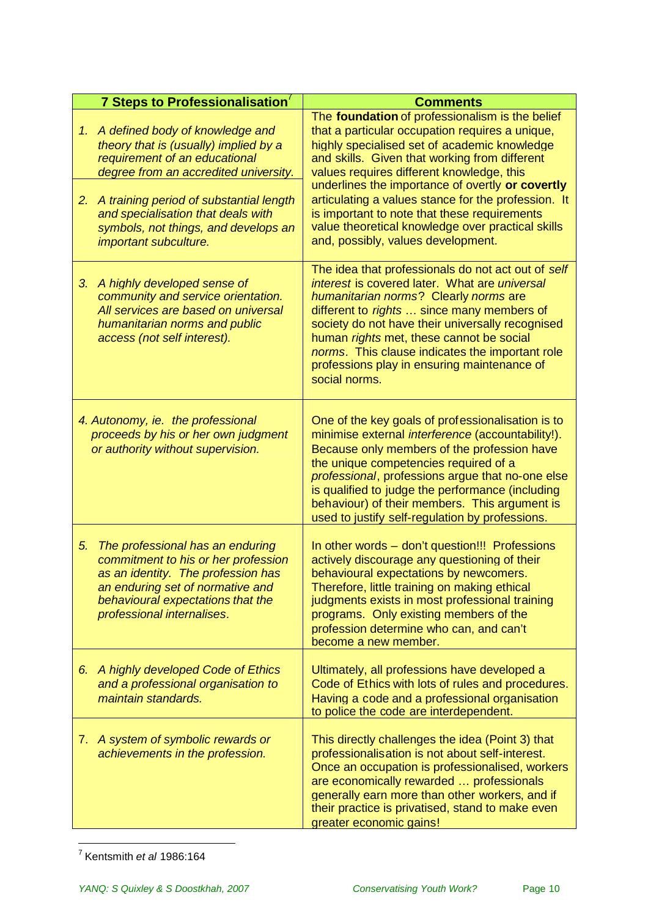|          | 7 Steps to Professionalisation                                                                                                                                                                                                                                                                       | <b>Comments</b>                                                                                                                                                                                                                                                                                                                                                                                                                                                                                        |
|----------|------------------------------------------------------------------------------------------------------------------------------------------------------------------------------------------------------------------------------------------------------------------------------------------------------|--------------------------------------------------------------------------------------------------------------------------------------------------------------------------------------------------------------------------------------------------------------------------------------------------------------------------------------------------------------------------------------------------------------------------------------------------------------------------------------------------------|
| 1.<br>2. | A defined body of knowledge and<br>theory that is (usually) implied by a<br>requirement of an educational<br>degree from an accredited university.<br>A training period of substantial length<br>and specialisation that deals with<br>symbols, not things, and develops an<br>important subculture. | The foundation of professionalism is the belief<br>that a particular occupation requires a unique,<br>highly specialised set of academic knowledge<br>and skills. Given that working from different<br>values requires different knowledge, this<br>underlines the importance of overtly or covertly<br>articulating a values stance for the profession. It<br>is important to note that these requirements<br>value theoretical knowledge over practical skills<br>and, possibly, values development. |
| 3.       | A highly developed sense of<br>community and service orientation.<br>All services are based on universal<br>humanitarian norms and public<br>access (not self interest).                                                                                                                             | The idea that professionals do not act out of self<br>interest is covered later. What are universal<br>humanitarian norms? Clearly norms are<br>different to rights  since many members of<br>society do not have their universally recognised<br>human rights met, these cannot be social<br>norms. This clause indicates the important role<br>professions play in ensuring maintenance of<br>social norms.                                                                                          |
|          | 4. Autonomy, ie. the professional<br>proceeds by his or her own judgment<br>or authority without supervision.                                                                                                                                                                                        | One of the key goals of professionalisation is to<br>minimise external <i>interference</i> (accountability!).<br>Because only members of the profession have<br>the unique competencies required of a<br>professional, professions argue that no-one else<br>is qualified to judge the performance (including<br>behaviour) of their members. This argument is<br>used to justify self-regulation by professions.                                                                                      |
| 5.       | The professional has an enduring<br>commitment to his or her profession<br>as an identity. The profession has<br>an enduring set of normative and<br>behavioural expectations that the<br>professional internalises.                                                                                 | In other words - don't question!!! Professions<br>actively discourage any questioning of their<br>behavioural expectations by newcomers.<br>Therefore, little training on making ethical<br>judgments exists in most professional training<br>programs. Only existing members of the<br>profession determine who can, and can't<br>become a new member.                                                                                                                                                |
| 6.       | A highly developed Code of Ethics<br>and a professional organisation to<br>maintain standards.                                                                                                                                                                                                       | Ultimately, all professions have developed a<br>Code of Ethics with lots of rules and procedures.<br>Having a code and a professional organisation<br>to police the code are interdependent.                                                                                                                                                                                                                                                                                                           |
| 7.       | A system of symbolic rewards or<br>achievements in the profession.                                                                                                                                                                                                                                   | This directly challenges the idea (Point 3) that<br>professionalisation is not about self-interest.<br>Once an occupation is professionalised, workers<br>are economically rewarded  professionals<br>generally earn more than other workers, and if<br>their practice is privatised, stand to make even<br>greater economic gains!                                                                                                                                                                    |

<sup>7</sup> Kentsmith *et al* 1986:164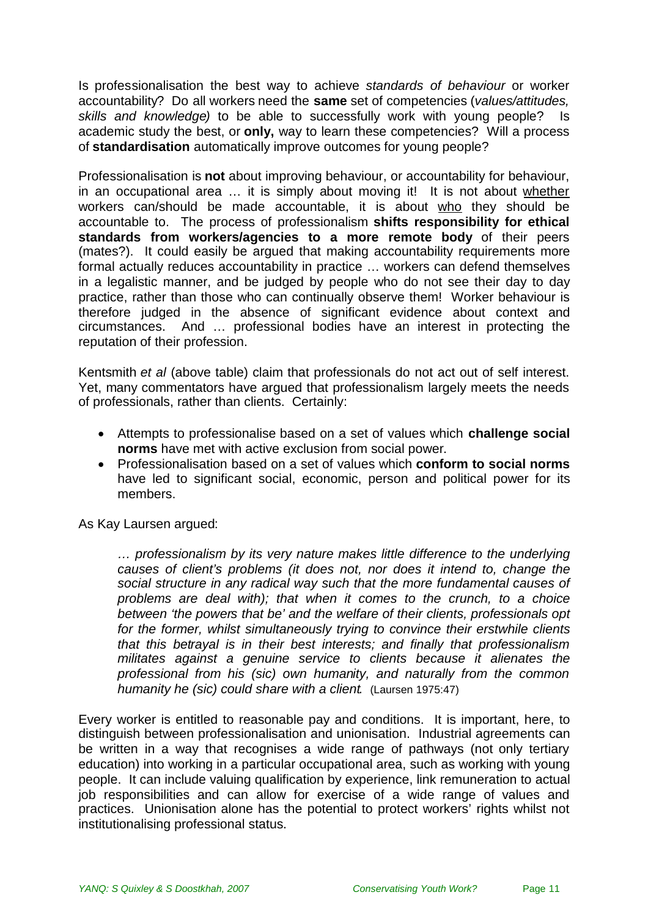Is professionalisation the best way to achieve *standards of behaviour* or worker accountability? Do all workers need the **same** set of competencies (*values/attitudes, skills and knowledge)* to be able to successfully work with young people? Is academic study the best, or **only,** way to learn these competencies? Will a process of **standardisation** automatically improve outcomes for young people?

Professionalisation is **not** about improving behaviour, or accountability for behaviour, in an occupational area … it is simply about moving it! It is not about whether workers can/should be made accountable, it is about who they should be accountable to. The process of professionalism **shifts responsibility for ethical standards from workers/agencies to a more remote body** of their peers (mates?). It could easily be argued that making accountability requirements more formal actually reduces accountability in practice … workers can defend themselves in a legalistic manner, and be judged by people who do not see their day to day practice, rather than those who can continually observe them! Worker behaviour is therefore judged in the absence of significant evidence about context and circumstances. And … professional bodies have an interest in protecting the reputation of their profession.

Kentsmith *et al* (above table) claim that professionals do not act out of self interest. Yet, many commentators have argued that professionalism largely meets the needs of professionals, rather than clients. Certainly:

- Attempts to professionalise based on a set of values which **challenge social norms** have met with active exclusion from social power.
- Professionalisation based on a set of values which **conform to social norms** have led to significant social, economic, person and political power for its members.

As Kay Laursen argued:

*… professionalism by its very nature makes little difference to the underlying causes of client's problems (it does not, nor does it intend to, change the social structure in any radical way such that the more fundamental causes of problems are deal with); that when it comes to the crunch, to a choice between 'the powers that be' and the welfare of their clients, professionals opt for the former, whilst simultaneously trying to convince their erstwhile clients that this betrayal is in their best interests; and finally that professionalism militates against a genuine service to clients because it alienates the professional from his (sic) own humanity, and naturally from the common humanity he (sic) could share with a client.* (Laursen 1975:47)

Every worker is entitled to reasonable pay and conditions. It is important, here, to distinguish between professionalisation and unionisation. Industrial agreements can be written in a way that recognises a wide range of pathways (not only tertiary education) into working in a particular occupational area, such as working with young people. It can include valuing qualification by experience, link remuneration to actual iob responsibilities and can allow for exercise of a wide range of values and practices. Unionisation alone has the potential to protect workers' rights whilst not institutionalising professional status.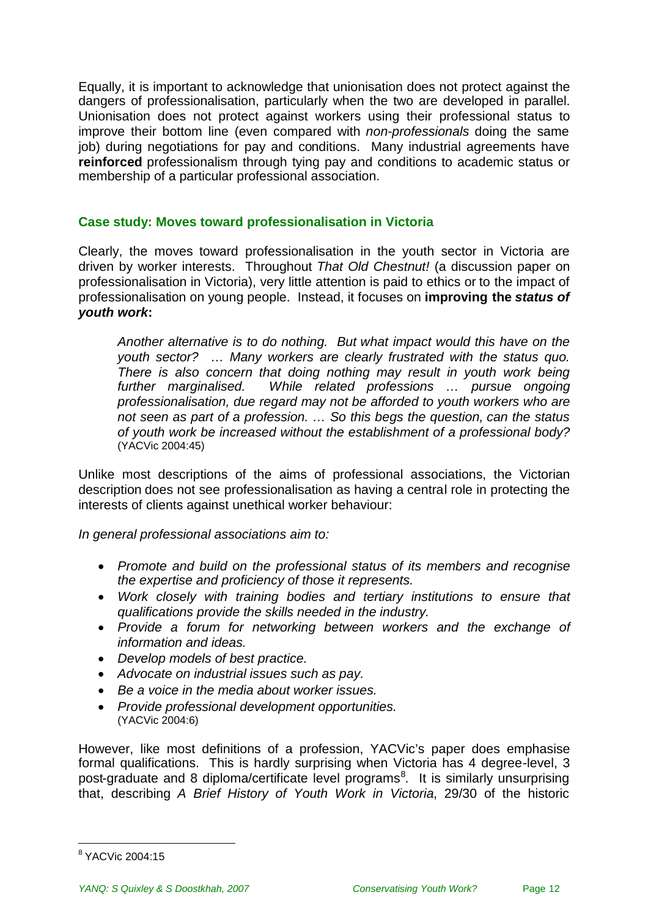Equally, it is important to acknowledge that unionisation does not protect against the dangers of professionalisation, particularly when the two are developed in parallel. Unionisation does not protect against workers using their professional status to improve their bottom line (even compared with *non-professionals* doing the same job) during negotiations for pay and conditions. Many industrial agreements have **reinforced** professionalism through tying pay and conditions to academic status or membership of a particular professional association.

### **Case study: Moves toward professionalisation in Victoria**

Clearly, the moves toward professionalisation in the youth sector in Victoria are driven by worker interests. Throughout *That Old Chestnut!* (a discussion paper on professionalisation in Victoria), very little attention is paid to ethics or to the impact of professionalisation on young people. Instead, it focuses on **improving the** *status of youth work***:**

*Another alternative is to do nothing. But what impact would this have on the youth sector? … Many workers are clearly frustrated with the status quo. There is also concern that doing nothing may result in youth work being further marginalised. While related professions … pursue ongoing professionalisation, due regard may not be afforded to youth workers who are not seen as part of a profession. … So this begs the question, can the status of youth work be increased without the establishment of a professional body?* (YACVic 2004:45)

Unlike most descriptions of the aims of professional associations, the Victorian description does not see professionalisation as having a central role in protecting the interests of clients against unethical worker behaviour:

*In general professional associations aim to:*

- *Promote and build on the professional status of its members and recognise the expertise and proficiency of those it represents.*
- *Work closely with training bodies and tertiary institutions to ensure that qualifications provide the skills needed in the industry.*
- *Provide a forum for networking between workers and the exchange of information and ideas.*
- *Develop models of best practice.*
- *Advocate on industrial issues such as pay.*
- *Be a voice in the media about worker issues.*
- *Provide professional development opportunities.* (YACVic 2004:6)

However, like most definitions of a profession, YACVic's paper does emphasise formal qualifications. This is hardly surprising when Victoria has 4 degree-level, 3 post-graduate and [8](#page-11-0) diploma/certificate level programs<sup>8</sup>. It is similarly unsurprising that, describing *A Brief History of Youth Work in Victoria*, 29/30 of the historic

<span id="page-11-0"></span><sup>&</sup>lt;sup>8</sup> YACVic 2004:15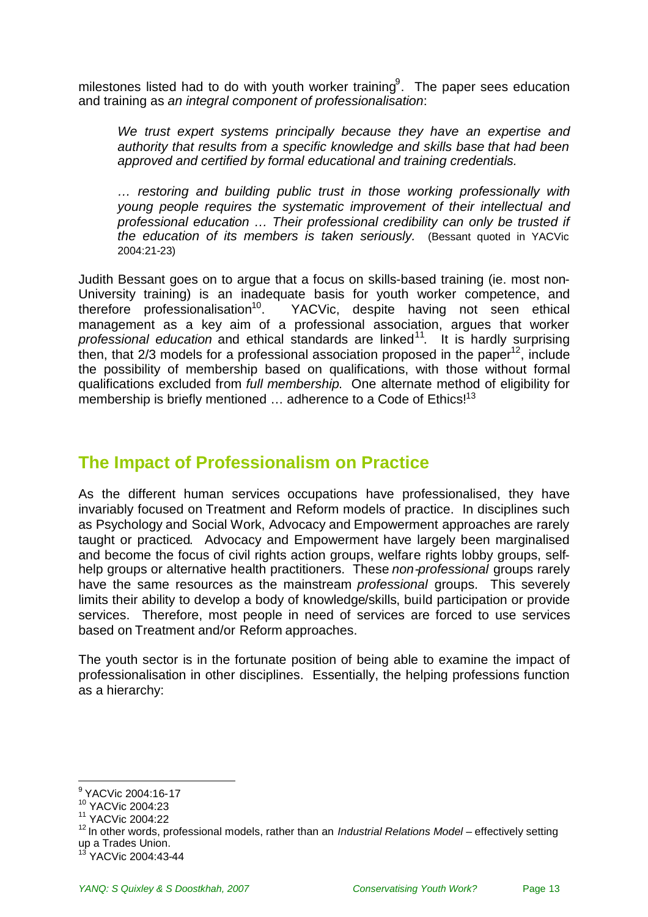milestones listed had to do with youth worker training<sup>[9](#page-12-1)</sup>. The paper sees education and training as *an integral component of professionalisation*:

*We trust expert systems principally because they have an expertise and authority that results from a specific knowledge and skills base that had been approved and certified by formal educational and training credentials.*

*… restoring and building public trust in those working professionally with young people requires the systematic improvement of their intellectual and professional education … Their professional credibility can only be trusted if the education of its members is taken seriously.* (Bessant quoted in YACVic 2004:21-23)

Judith Bessant goes on to argue that a focus on skills-based training (ie. most non-University training) is an inadequate basis for youth worker competence, and therefore professionalisation<sup>10</sup>. YACVic, despite having not seen ethical YACVic, despite having not seen ethical management as a key aim of a professional association, argues that worker professional education and ethical standards are linked<sup>[11](#page-12-3)</sup>. It is hardly surprising then, that 2/3 models for a professional association proposed in the paper<sup>[12](#page-12-4)</sup>, include the possibility of membership based on qualifications, with those without formal qualifications excluded from *full membership*. One alternate method of eligibility for membership is briefly mentioned  $\ldots$  adherence to a Code of Ethics!<sup>[13](#page-12-5)</sup>

### <span id="page-12-0"></span>**The Impact of Professionalism on Practice**

As the different human services occupations have professionalised, they have invariably focused on Treatment and Reform models of practice. In disciplines such as Psychology and Social Work, Advocacy and Empowerment approaches are rarely taught or practiced. Advocacy and Empowerment have largely been marginalised and become the focus of civil rights action groups, welfare rights lobby groups, selfhelp groups or alternative health practitioners. These *non-professional* groups rarely have the same resources as the mainstream *professional* groups. This severely limits their ability to develop a body of knowledge/skills, build participation or provide services. Therefore, most people in need of services are forced to use services based on Treatment and/or Reform approaches.

The youth sector is in the fortunate position of being able to examine the impact of professionalisation in other disciplines. Essentially, the helping professions function as a hierarchy:

<span id="page-12-2"></span><span id="page-12-1"></span><sup>&</sup>lt;sup>9</sup> YACVic 2004:16-17

<sup>10</sup> YACVic 2004:23

<span id="page-12-3"></span><sup>11</sup> YACVic 2004:22

<span id="page-12-4"></span><sup>12</sup> In other words, professional models, rather than an *Industrial Relations Model* – effectively setting up a Trades Union.

<span id="page-12-5"></span><sup>&</sup>lt;sup>13</sup> YACVic 2004:43-44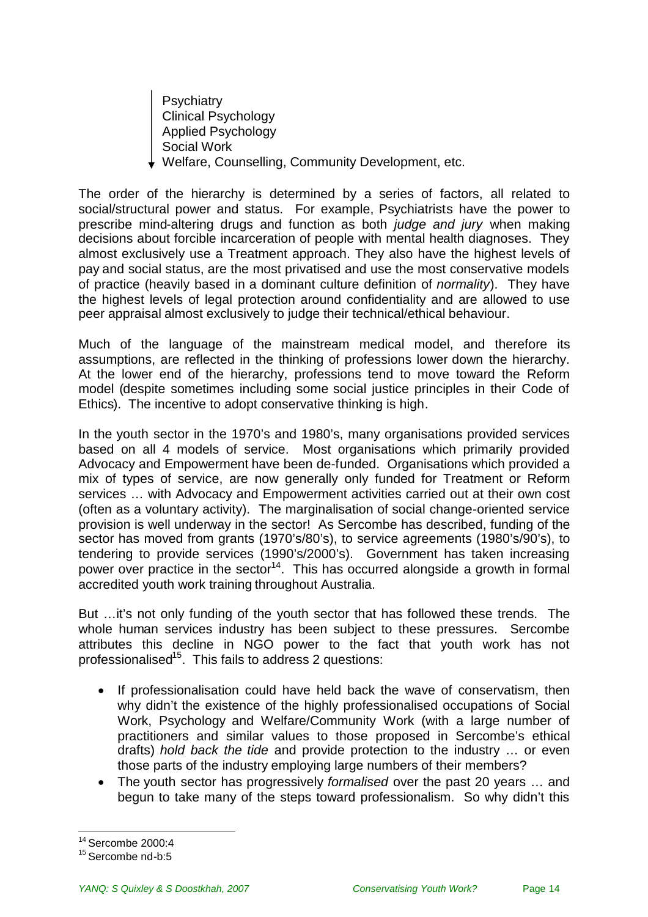**Psychiatry** Clinical Psychology Applied Psychology Social Work Welfare, Counselling, Community Development, etc.

The order of the hierarchy is determined by a series of factors, all related to social/structural power and status. For example, Psychiatrists have the power to prescribe mind-altering drugs and function as both *judge and jury* when making decisions about forcible incarceration of people with mental health diagnoses. They almost exclusively use a Treatment approach. They also have the highest levels of pay and social status, are the most privatised and use the most conservative models of practice (heavily based in a dominant culture definition of *normality*). They have the highest levels of legal protection around confidentiality and are allowed to use peer appraisal almost exclusively to judge their technical/ethical behaviour.

Much of the language of the mainstream medical model, and therefore its assumptions, are reflected in the thinking of professions lower down the hierarchy. At the lower end of the hierarchy, professions tend to move toward the Reform model (despite sometimes including some social justice principles in their Code of Ethics). The incentive to adopt conservative thinking is high.

In the youth sector in the 1970's and 1980's, many organisations provided services based on all 4 models of service. Most organisations which primarily provided Advocacy and Empowerment have been de-funded. Organisations which provided a mix of types of service, are now generally only funded for Treatment or Reform services … with Advocacy and Empowerment activities carried out at their own cost (often as a voluntary activity). The marginalisation of social change-oriented service provision is well underway in the sector! As Sercombe has described, funding of the sector has moved from grants (1970's/80's), to service agreements (1980's/90's), to tendering to provide services (1990's/2000's). Government has taken increasing power over practice in the sector<sup>[14](#page-13-0)</sup>. This has occurred alongside a growth in formal accredited youth work training throughout Australia.

But …it's not only funding of the youth sector that has followed these trends. The whole human services industry has been subject to these pressures. Sercombe attributes this decline in NGO power to the fact that youth work has not professionalised<sup>[15](#page-13-1)</sup>. This fails to address 2 questions:

- If professionalisation could have held back the wave of conservatism, then why didn't the existence of the highly professionalised occupations of Social Work, Psychology and Welfare/Community Work (with a large number of practitioners and similar values to those proposed in Sercombe's ethical drafts) *hold back the tide* and provide protection to the industry … or even those parts of the industry employing large numbers of their members?
- The youth sector has progressively *formalised* over the past 20 years … and begun to take many of the steps toward professionalism. So why didn't this

<span id="page-13-0"></span><sup>14</sup> Sercombe 2000:4

<span id="page-13-1"></span><sup>15</sup> Sercombe nd-b:5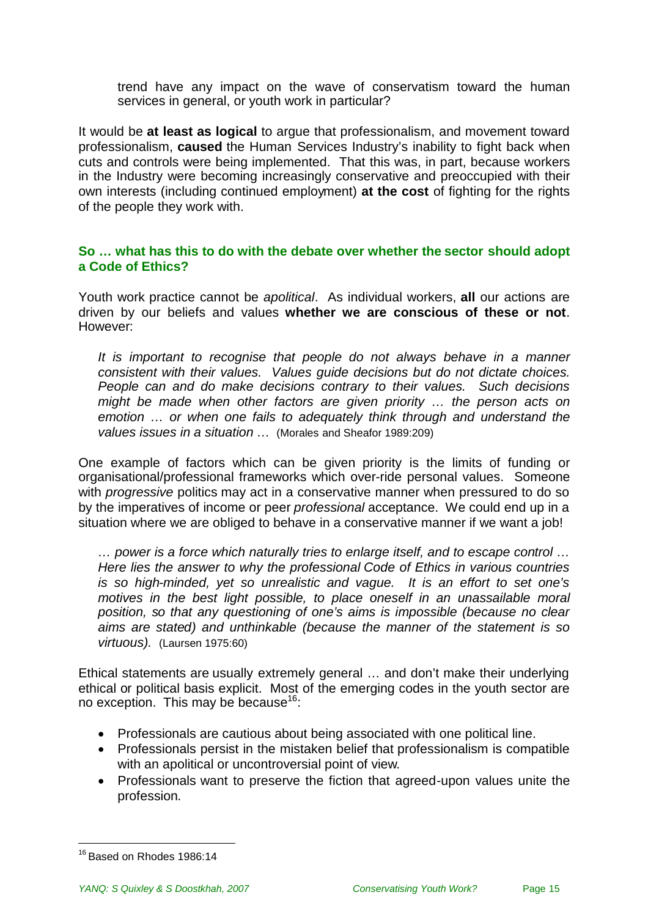trend have any impact on the wave of conservatism toward the human services in general, or youth work in particular?

It would be **at least as logical** to argue that professionalism, and movement toward professionalism, **caused** the Human Services Industry's inability to fight back when cuts and controls were being implemented. That this was, in part, because workers in the Industry were becoming increasingly conservative and preoccupied with their own interests (including continued employment) **at the cost** of fighting for the rights of the people they work with.

### **So … what has this to do with the debate over whether the sector should adopt a Code of Ethics?**

Youth work practice cannot be *apolitical*. As individual workers, **all** our actions are driven by our beliefs and values **whether we are conscious of these or not**. However:

*It is important to recognise that people do not always behave in a manner consistent with their values. Values guide decisions but do not dictate choices. People can and do make decisions contrary to their values. Such decisions might be made when other factors are given priority … the person acts on emotion … or when one fails to adequately think through and understand the values issues in a situation …* (Morales and Sheafor 1989:209)

One example of factors which can be given priority is the limits of funding or organisational/professional frameworks which over-ride personal values. Someone with *progressive* politics may act in a conservative manner when pressured to do so by the imperatives of income or peer *professional* acceptance. We could end up in a situation where we are obliged to behave in a conservative manner if we want a job!

*… power is a force which naturally tries to enlarge itself, and to escape control … Here lies the answer to why the professional Code of Ethics in various countries is so high-minded, yet so unrealistic and vague. It is an effort to set one's motives in the best light possible, to place oneself in an unassailable moral position, so that any questioning of one's aims is impossible (because no clear aims are stated) and unthinkable (because the manner of the statement is so virtuous).* (Laursen 1975:60)

Ethical statements are usually extremely general … and don't make their underlying ethical or political basis explicit. Most of the emerging codes in the youth sector are no exception. This may be because<sup>[16](#page-14-0)</sup>:

- Professionals are cautious about being associated with one political line.
- Professionals persist in the mistaken belief that professionalism is compatible with an apolitical or uncontroversial point of view.
- Professionals want to preserve the fiction that agreed-upon values unite the profession.

<span id="page-14-0"></span><sup>16</sup> Based on Rhodes 1986:14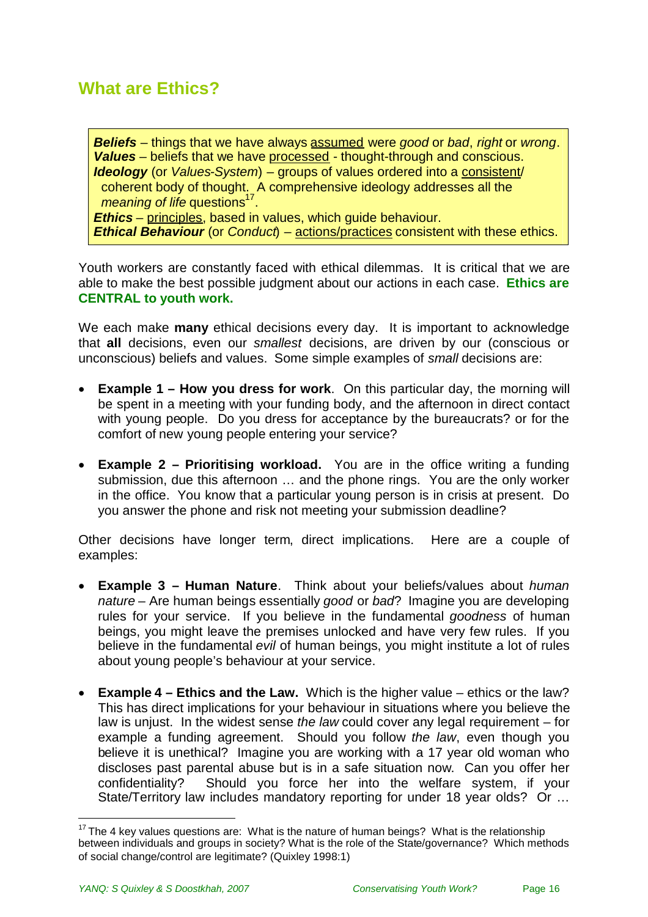# <span id="page-15-0"></span>**What are Ethics?**

*Beliefs* – things that we have always assumed were *good* or *bad*, *right* or *wrong*. *Values* – beliefs that we have processed - thought-through and conscious. *Ideology* (or *Values-System*) – groups of values ordered into a consistent/ coherent body of thought. A comprehensive ideology addresses all the *meaning of life* questions<sup>[17](#page-15-1)</sup>. *Ethics* – principles, based in values, which guide behaviour. *Ethical Behaviour* (or *Conduct*) – actions/practices consistent with these ethics.

Youth workers are constantly faced with ethical dilemmas. It is critical that we are able to make the best possible judgment about our actions in each case. **Ethics are CENTRAL to youth work.**

We each make **many** ethical decisions every day. It is important to acknowledge that **all** decisions, even our *smallest* decisions, are driven by our (conscious or unconscious) beliefs and values. Some simple examples of *small* decisions are:

- **Example 1 How you dress for work.** On this particular day, the morning will be spent in a meeting with your funding body, and the afternoon in direct contact with young people. Do you dress for acceptance by the bureaucrats? or for the comfort of new young people entering your service?
- **Example 2 – Prioritising workload.** You are in the office writing a funding submission, due this afternoon … and the phone rings. You are the only worker in the office. You know that a particular young person is in crisis at present. Do you answer the phone and risk not meeting your submission deadline?

Other decisions have longer term, direct implications. Here are a couple of examples:

- **Example 3 – Human Nature**. Think about your beliefs/values about *human nature* – Are human beings essentially *good* or *bad*? Imagine you are developing rules for your service. If you believe in the fundamental *goodness* of human beings, you might leave the premises unlocked and have very few rules. If you believe in the fundamental *evil* of human beings, you might institute a lot of rules about young people's behaviour at your service.
- **Example 4 – Ethics and the Law.** Which is the higher value ethics or the law? This has direct implications for your behaviour in situations where you believe the law is unjust. In the widest sense *the law* could cover any legal requirement – for example a funding agreement. Should you follow *the law*, even though you believe it is unethical? Imagine you are working with a 17 year old woman who discloses past parental abuse but is in a safe situation now. Can you offer her confidentiality? Should you force her into the welfare system, if your State/Territory law includes mandatory reporting for under 18 year olds? Or …

<span id="page-15-1"></span> $17$  The 4 kev values questions are: What is the nature of human beings? What is the relationship between individuals and groups in society? What is the role of the State/governance? Which methods of social change/control are legitimate? (Quixley 1998:1)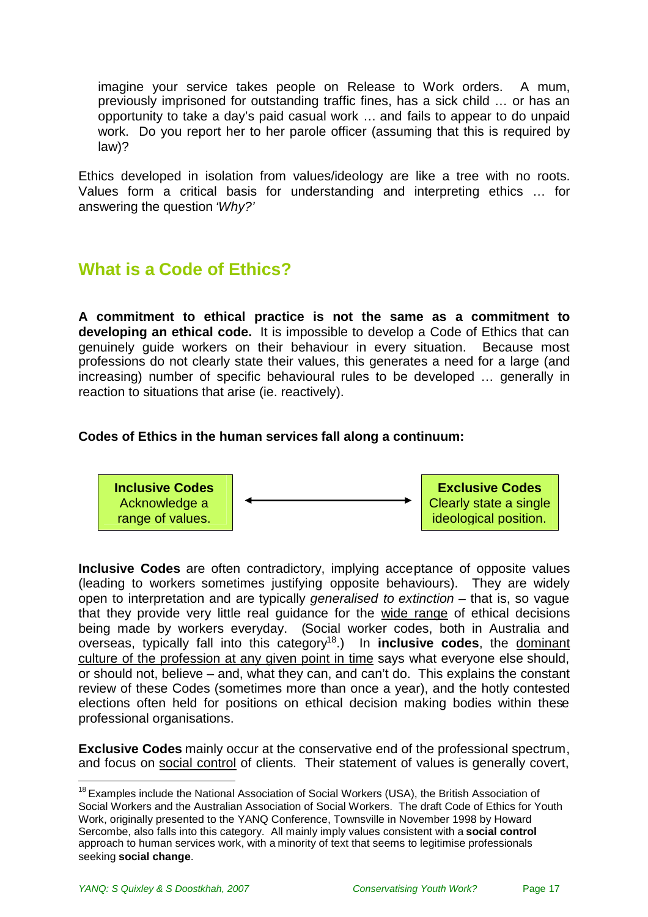imagine your service takes people on Release to Work orders. A mum, previously imprisoned for outstanding traffic fines, has a sick child … or has an opportunity to take a day's paid casual work … and fails to appear to do unpaid work. Do you report her to her parole officer (assuming that this is required by law)?

Ethics developed in isolation from values/ideology are like a tree with no roots. Values form a critical basis for understanding and interpreting ethics … for answering the question *'Why?'*

# <span id="page-16-0"></span>**What is a Code of Ethics?**

**A commitment to ethical practice is not the same as a commitment to developing an ethical code.** It is impossible to develop a Code of Ethics that can genuinely guide workers on their behaviour in every situation. Because most professions do not clearly state their values, this generates a need for a large (and increasing) number of specific behavioural rules to be developed … generally in reaction to situations that arise (ie. reactively).

### **Codes of Ethics in the human services fall along a continuum:**



**Inclusive Codes** are often contradictory, implying acceptance of opposite values (leading to workers sometimes justifying opposite behaviours). They are widely open to interpretation and are typically *generalised to extinction* – that is, so vague that they provide very little real guidance for the wide range of ethical decisions being made by workers everyday. (Social worker codes, both in Australia and overseas, typically fall into this category<sup>[18](#page-16-1)</sup>.) In **inclusive codes**, the dominant culture of the profession at any given point in time says what everyone else should, or should not, believe – and, what they can, and can't do. This explains the constant review of these Codes (sometimes more than once a year), and the hotly contested elections often held for positions on ethical decision making bodies within these professional organisations.

**Exclusive Codes** mainly occur at the conservative end of the professional spectrum, and focus on social control of clients. Their statement of values is generally covert,

<span id="page-16-1"></span><sup>&</sup>lt;sup>18</sup> Examples include the National Association of Social Workers (USA), the British Association of Social Workers and the Australian Association of Social Workers. The draft Code of Ethics for Youth Work, originally presented to the YANQ Conference, Townsville in November 1998 by Howard Sercombe, also falls into this category. All mainly imply values consistent with a **social control** approach to human services work, with a minority of text that seems to legitimise professionals seeking **social change**.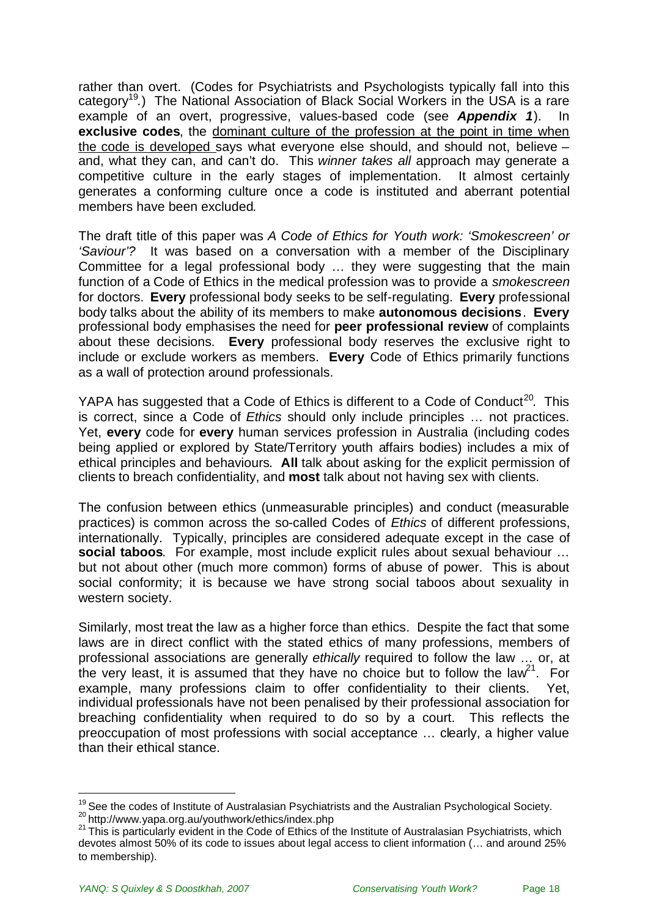rather than overt. (Codes for Psychiatrists and Psychologists typically fall into this category<sup>[19](#page-17-0)</sup>.) The National Association of Black Social Workers in the USA is a rare example of an overt, progressive, values-based code (see *Appendix 1*). In **exclusive codes**, the dominant culture of the profession at the point in time when the code is developed says what everyone else should, and should not, believe – and, what they can, and can't do. This *winner takes all* approach may generate a competitive culture in the early stages of implementation. It almost certainly generates a conforming culture once a code is instituted and aberrant potential members have been excluded.

The draft title of this paper was *A Code of Ethics for Youth work: 'Smokescreen' or 'Saviour'?* It was based on a conversation with a member of the Disciplinary Committee for a legal professional body … they were suggesting that the main function of a Code of Ethics in the medical profession was to provide a *smokescreen* for doctors. **Every** professional body seeks to be self-regulating. **Every** professional body talks about the ability of its members to make **autonomous decisions**. **Every** professional body emphasises the need for **peer professional review** of complaints about these decisions. **Every** professional body reserves the exclusive right to include or exclude workers as members. **Every** Code of Ethics primarily functions as a wall of protection around professionals.

YAPA has suggested that a Code of Ethics is different to a Code of Conduct<sup>[20](#page-17-1)</sup>. This is correct, since a Code of *Ethics* should only include principles … not practices. Yet, **every** code for **every** human services profession in Australia (including codes being applied or explored by State/Territory youth affairs bodies) includes a mix of ethical principles and behaviours. **All** talk about asking for the explicit permission of clients to breach confidentiality, and **most** talk about not having sex with clients.

The confusion between ethics (unmeasurable principles) and conduct (measurable practices) is common across the so-called Codes of *Ethics* of different professions, internationally. Typically, principles are considered adequate except in the case of **social taboos**. For example, most include explicit rules about sexual behaviour … but not about other (much more common) forms of abuse of power. This is about social conformity; it is because we have strong social taboos about sexuality in western society.

Similarly, most treat the law as a higher force than ethics. Despite the fact that some laws are in direct conflict with the stated ethics of many professions, members of professional associations are generally *ethically* required to follow the law … or, at thevery least, it is assumed that they have no choice but to follow the law<sup>21</sup>. For example, many professions claim to offer confidentiality to their clients. Yet, individual professionals have not been penalised by their professional association for breaching confidentiality when required to do so by a court. This reflects the preoccupation of most professions with social acceptance … clearly, a higher value than their ethical stance.

<span id="page-17-1"></span><span id="page-17-0"></span> $19$  See the codes of Institute of Australasian Psychiatrists and the Australian Psychological Society. 20 http://www.yapa.org.au/youthwork/ethics/index.php

<span id="page-17-2"></span><sup>&</sup>lt;sup>21</sup> This is particularly evident in the Code of Ethics of the Institute of Australasian Psychiatrists, which devotes almost 50% of its code to issues about legal access to client information (… and around 25% to membership).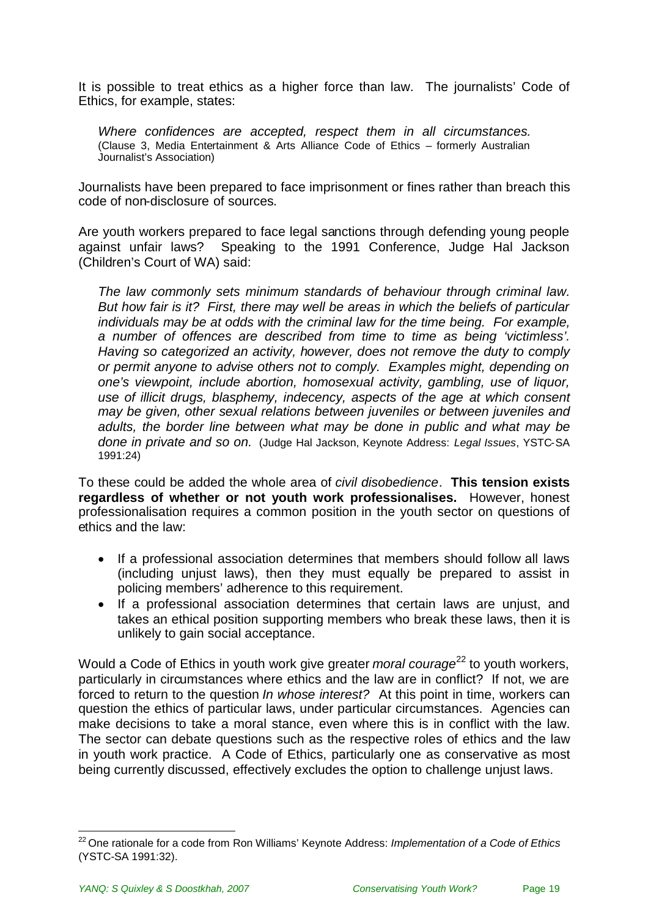It is possible to treat ethics as a higher force than law. The journalists' Code of Ethics, for example, states:

*Where confidences are accepted, respect them in all circumstances.* (Clause 3, Media Entertainment & Arts Alliance Code of Ethics – formerly Australian Journalist's Association)

Journalists have been prepared to face imprisonment or fines rather than breach this code of non-disclosure of sources.

Are youth workers prepared to face legal sanctions through defending young people against unfair laws? Speaking to the 1991 Conference, Judge Hal Jackson (Children's Court of WA) said:

*The law commonly sets minimum standards of behaviour through criminal law. But how fair is it? First, there may well be areas in which the beliefs of particular individuals may be at odds with the criminal law for the time being. For example, a number of offences are described from time to time as being 'victimless'. Having so categorized an activity, however, does not remove the duty to comply or permit anyone to advise others not to comply. Examples might, depending on one's viewpoint, include abortion, homosexual activity, gambling, use of liquor, use of illicit drugs, blasphemy, indecency, aspects of the age at which consent may be given, other sexual relations between juveniles or between juveniles and adults, the border line between what may be done in public and what may be done in private and so on.* (Judge Hal Jackson, Keynote Address: *Legal Issues*, YSTC-SA 1991:24)

To these could be added the whole area of *civil disobedience*. **This tension exists regardless of whether or not youth work professionalises.** However, honest professionalisation requires a common position in the youth sector on questions of ethics and the law:

- If a professional association determines that members should follow all laws (including unjust laws), then they must equally be prepared to assist in policing members' adherence to this requirement.
- If a professional association determines that certain laws are unjust, and takes an ethical position supporting members who break these laws, then it is unlikely to gain social acceptance.

Would a Code of Ethics in youth work give greater *moral courage*<sup>[22](#page-18-0)</sup> to youth workers, particularly in circumstances where ethics and the law are in conflict? If not, we are forced to return to the question *In whose interest?* At this point in time, workers can question the ethics of particular laws, under particular circumstances. Agencies can make decisions to take a moral stance, even where this is in conflict with the law. The sector can debate questions such as the respective roles of ethics and the law in youth work practice. A Code of Ethics, particularly one as conservative as most being currently discussed, effectively excludes the option to challenge unjust laws.

<span id="page-18-0"></span><sup>22</sup> One rationale for a code from Ron Williams' Keynote Address: *Implementation of a Code of Ethics* (YSTC-SA 1991:32).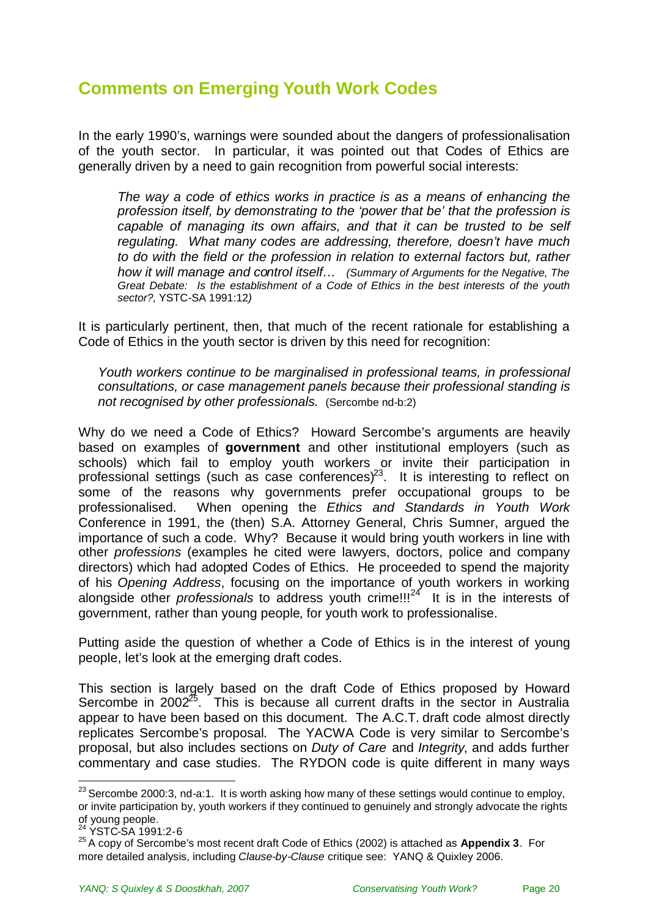# <span id="page-19-0"></span>**Comments on Emerging Youth Work Codes**

In the early 1990's, warnings were sounded about the dangers of professionalisation of the youth sector. In particular, it was pointed out that Codes of Ethics are generally driven by a need to gain recognition from powerful social interests:

*The way a code of ethics works in practice is as a means of enhancing the profession itself, by demonstrating to the 'power that be' that the profession is capable of managing its own affairs, and that it can be trusted to be self regulating. What many codes are addressing, therefore, doesn't have much to do with the field or the profession in relation to external factors but, rather how it will manage and control itself… (Summary of Arguments for the Negative, The Great Debate: Is the establishment of a Code of Ethics in the best interests of the youth sector?,* YSTC-SA 1991:12*)*

It is particularly pertinent, then, that much of the recent rationale for establishing a Code of Ethics in the youth sector is driven by this need for recognition:

*Youth workers continue to be marginalised in professional teams, in professional consultations, or case management panels because their professional standing is not recognised by other professionals.* (Sercombe nd-b:2)

Why do we need a Code of Ethics? Howard Sercombe's arguments are heavily based on examples of **government** and other institutional employers (such as schools) which fail to employ youth workers or invite their participation in professional settings (such as case conferences)<sup>[23](#page-19-1)</sup>. It is interesting to reflect on some of the reasons why governments prefer occupational groups to be professionalised. When opening the *Ethics and Standards in Youth Work* Conference in 1991, the (then) S.A. Attorney General, Chris Sumner, argued the importance of such a code. Why? Because it would bring youth workers in line with other *professions* (examples he cited were lawyers, doctors, police and company directors) which had adopted Codes of Ethics. He proceeded to spend the majority of his *Opening Address*, focusing on the importance of youth workers in working alongside other *professionals* to address youth crime!!!<sup>[24](#page-19-2)</sup> It is in the interests of government, rather than young people, for youth work to professionalise.

Putting aside the question of whether a Code of Ethics is in the interest of young people, let's look at the emerging draft codes.

This section is largely based on the draft Code of Ethics proposed by Howard Sercombe in  $2002^{25}$  $2002^{25}$  $2002^{25}$ . This is because all current drafts in the sector in Australia appear to have been based on this document. The A.C.T. draft code almost directly replicates Sercombe's proposal. The YACWA Code is very similar to Sercombe's proposal, but also includes sections on *Duty of Care* and *Integrity*, and adds further commentary and case studies. The RYDON code is quite different in many ways

<span id="page-19-1"></span> $23$  Sercombe 2000:3, nd-a:1. It is worth asking how many of these settings would continue to employ, or invite participation by, youth workers if they continued to genuinely and strongly advocate the rights of young people.

<span id="page-19-3"></span><span id="page-19-2"></span>YSTC-SA 1991:2-6

<sup>25</sup> A copy of Sercombe's most recent draft Code of Ethics (2002) is attached as **Appendix 3**. For more detailed analysis, including *Clause-by-Clause* critique see: YANQ & Quixley 2006.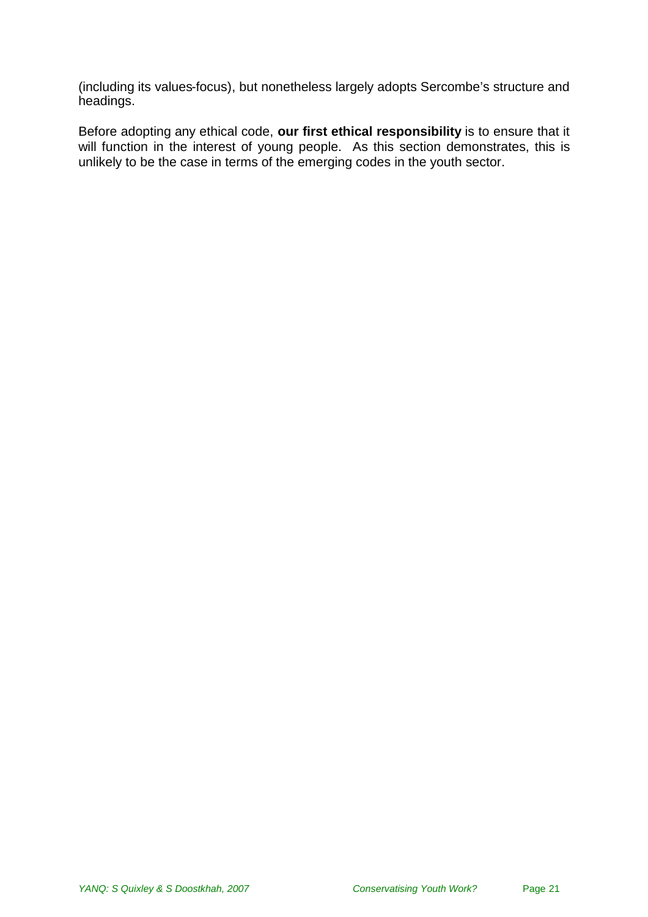(including its values-focus), but nonetheless largely adopts Sercombe's structure and headings.

Before adopting any ethical code, **our first ethical responsibility** is to ensure that it will function in the interest of young people. As this section demonstrates, this is unlikely to be the case in terms of the emerging codes in the youth sector.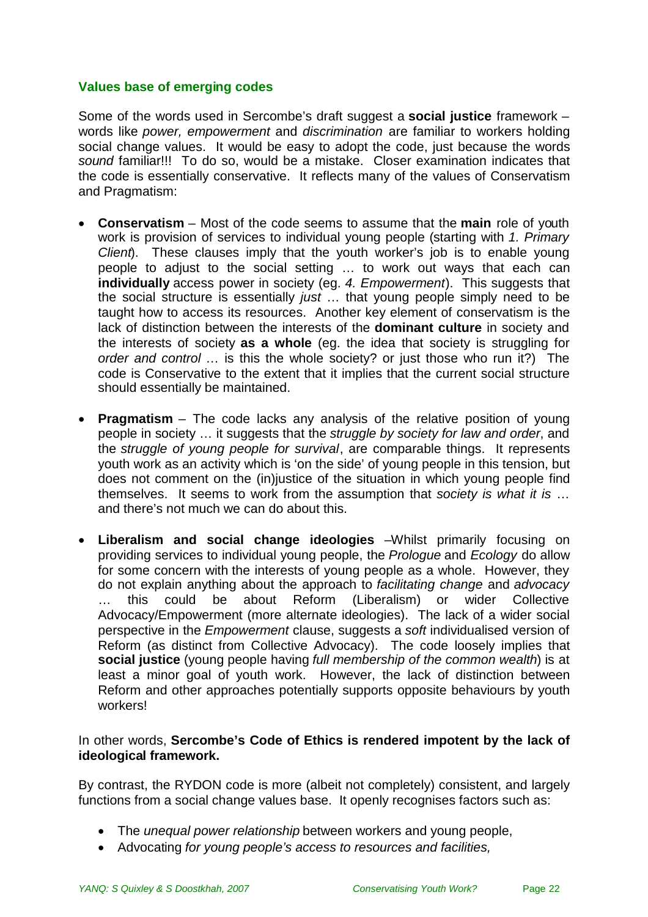### **Values base of emerging codes**

Some of the words used in Sercombe's draft suggest a **social justice** framework – words like *power, empowerment* and *discrimination* are familiar to workers holding social change values. It would be easy to adopt the code, just because the words *sound* familiar!!! To do so, would be a mistake. Closer examination indicates that the code is essentially conservative. It reflects many of the values of Conservatism and Pragmatism:

- **Conservatism** Most of the code seems to assume that the **main** role of youth work is provision of services to individual young people (starting with *1. Primary Client*). These clauses imply that the youth worker's job is to enable young people to adjust to the social setting … to work out ways that each can **individually** access power in society (eg. *4. Empowerment*). This suggests that the social structure is essentially *just* … that young people simply need to be taught how to access its resources. Another key element of conservatism is the lack of distinction between the interests of the **dominant culture** in society and the interests of society **as a whole** (eg. the idea that society is struggling for *order and control* … is this the whole society? or just those who run it?) The code is Conservative to the extent that it implies that the current social structure should essentially be maintained.
- **Pragmatism** The code lacks any analysis of the relative position of young people in society … it suggests that the *struggle by society for law and order*, and the *struggle of young people for survival*, are comparable things. It represents youth work as an activity which is 'on the side' of young people in this tension, but does not comment on the (in)justice of the situation in which young people find themselves. It seems to work from the assumption that *society is what it is* … and there's not much we can do about this.
- **Liberalism and social change ideologies** –Whilst primarily focusing on providing services to individual young people, the *Prologue* and *Ecology* do allow for some concern with the interests of young people as a whole. However, they do not explain anything about the approach to *facilitating change* and *advocacy* … this could be about Reform (Liberalism) or wider Collective Advocacy/Empowerment (more alternate ideologies). The lack of a wider social perspective in the *Empowerment* clause, suggests a *soft* individualised version of Reform (as distinct from Collective Advocacy). The code loosely implies that **social justice** (young people having *full membership of the common wealth*) is at least a minor goal of youth work. However, the lack of distinction between Reform and other approaches potentially supports opposite behaviours by youth workers!

### In other words, **Sercombe's Code of Ethics is rendered impotent by the lack of ideological framework.**

By contrast, the RYDON code is more (albeit not completely) consistent, and largely functions from a social change values base. It openly recognises factors such as:

- The *unequal power relationship* between workers and young people,
- Advocating *for young people's access to resources and facilities,*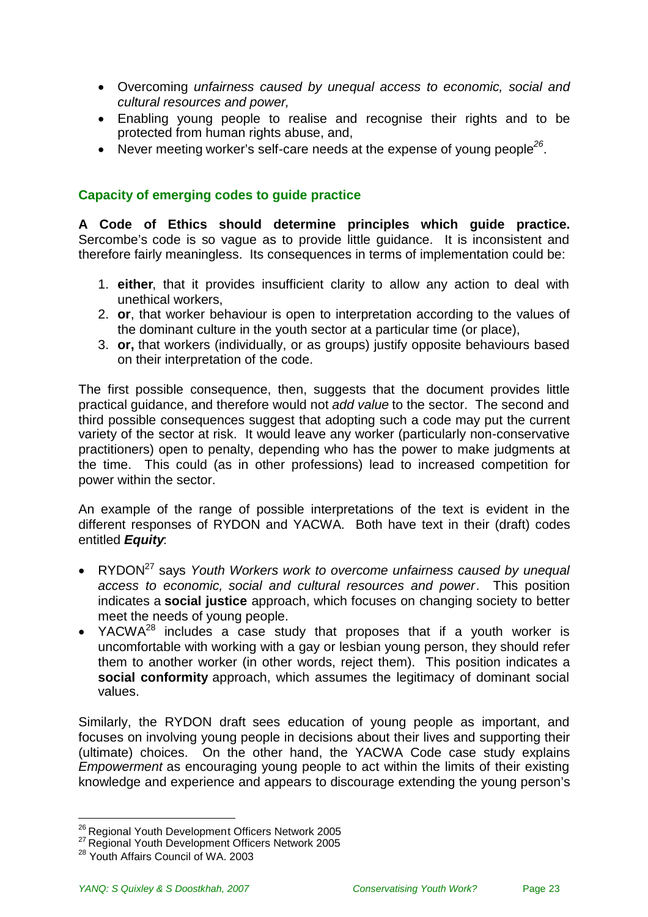- Overcoming *unfairness caused by unequal access to economic, social and cultural resources and power,*
- Enabling young people to realise and recognise their rights and to be protected from human rights abuse, and,
- Never meeting worker's self-care needs at the expense of young people<sup>[26](#page-22-0)</sup>.

### **Capacity of emerging codes to guide practice**

**A Code of Ethics should determine principles which guide practice.** Sercombe's code is so vague as to provide little guidance. It is inconsistent and therefore fairly meaningless. Its consequences in terms of implementation could be:

- 1. **either**, that it provides insufficient clarity to allow any action to deal with unethical workers,
- 2. **or**, that worker behaviour is open to interpretation according to the values of the dominant culture in the youth sector at a particular time (or place),
- 3. **or,** that workers (individually, or as groups) justify opposite behaviours based on their interpretation of the code.

The first possible consequence, then, suggests that the document provides little practical guidance, and therefore would not *add value* to the sector. The second and third possible consequences suggest that adopting such a code may put the current variety of the sector at risk. It would leave any worker (particularly non-conservative practitioners) open to penalty, depending who has the power to make judgments at the time. This could (as in other professions) lead to increased competition for power within the sector.

An example of the range of possible interpretations of the text is evident in the different responses of RYDON and YACWA. Both have text in their (draft) codes entitled *Equity*:

- RYDON[27](#page-22-1) says *Youth Workers work to overcome unfairness caused by unequal access to economic, social and cultural resources and power*. This position indicates a **social justice** approach, which focuses on changing society to better meet the needs of young people.
- YACWA<sup>[28](#page-22-2)</sup> includes a case study that proposes that if a youth worker is uncomfortable with working with a gay or lesbian young person, they should refer them to another worker (in other words, reject them). This position indicates a **social conformity** approach, which assumes the legitimacy of dominant social values.

Similarly, the RYDON draft sees education of young people as important, and focuses on involving young people in decisions about their lives and supporting their (ultimate) choices. On the other hand, the YACWA Code case study explains *Empowerment* as encouraging young people to act within the limits of their existing knowledge and experience and appears to discourage extending the young person's

<span id="page-22-1"></span><span id="page-22-0"></span><sup>&</sup>lt;sup>26</sup> Regional Youth Development Officers Network 2005

<span id="page-22-2"></span><sup>&</sup>lt;sup>27</sup> Regional Youth Development Officers Network 2005

<sup>&</sup>lt;sup>28</sup> Youth Affairs Council of WA. 2003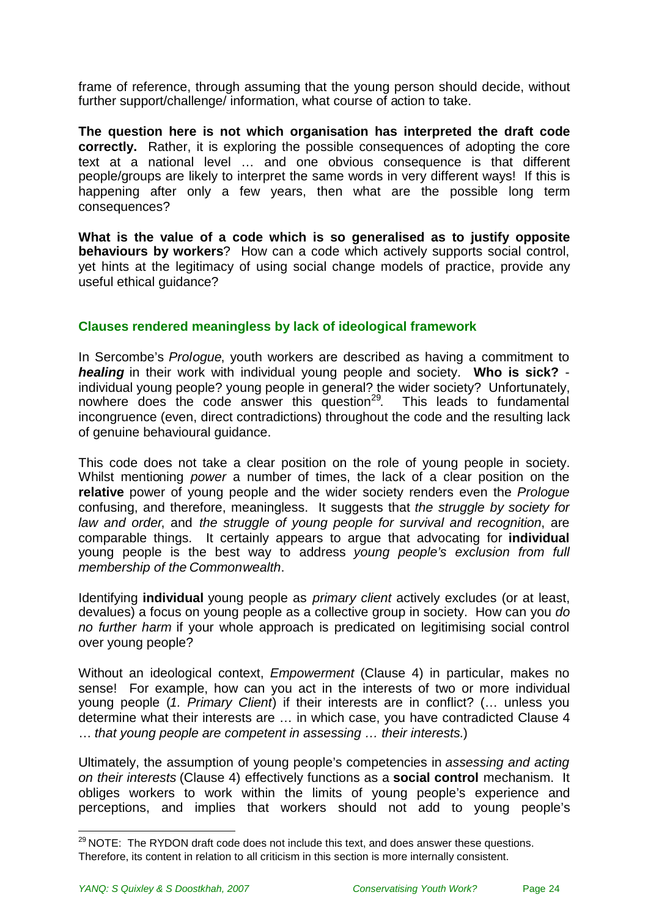frame of reference, through assuming that the young person should decide, without further support/challenge/ information, what course of action to take.

**The question here is not which organisation has interpreted the draft code correctly.** Rather, it is exploring the possible consequences of adopting the core text at a national level … and one obvious consequence is that different people/groups are likely to interpret the same words in very different ways! If this is happening after only a few years, then what are the possible long term consequences?

**What is the value of a code which is so generalised as to justify opposite behaviours by workers**? How can a code which actively supports social control, yet hints at the legitimacy of using social change models of practice, provide any useful ethical guidance?

### **Clauses rendered meaningless by lack of ideological framework**

In Sercombe's *Prologue*, youth workers are described as having a commitment to *healing* in their work with individual young people and society. **Who is sick?** individual young people? young people in general? the wider society? Unfortunately, nowhere does the code answer this question<sup>[29](#page-23-0)</sup>. This leads to fundamental incongruence (even, direct contradictions) throughout the code and the resulting lack of genuine behavioural guidance.

This code does not take a clear position on the role of young people in society. Whilst mentioning *power* a number of times, the lack of a clear position on the **relative** power of young people and the wider society renders even the *Prologue* confusing, and therefore, meaningless. It suggests that *the struggle by society for law and order*, and *the struggle of young people for survival and recognition*, are comparable things. It certainly appears to argue that advocating for **individual** young people is the best way to address *young people's exclusion from full membership of the Commonwealth*.

Identifying **individual** young people as *primary client* actively excludes (or at least, devalues) a focus on young people as a collective group in society. How can you *do no further harm* if your whole approach is predicated on legitimising social control over young people?

Without an ideological context, *Empowerment* (Clause 4) in particular, makes no sense! For example, how can you act in the interests of two or more individual young people (*1. Primary Client*) if their interests are in conflict? (… unless you determine what their interests are … in which case, you have contradicted Clause 4 … *that young people are competent in assessing … their interests*.)

Ultimately, the assumption of young people's competencies in *assessing and acting on their interests* (Clause 4) effectively functions as a **social control** mechanism. It obliges workers to work within the limits of young people's experience and perceptions, and implies that workers should not add to young people's

<span id="page-23-0"></span><sup>&</sup>lt;sup>29</sup> NOTE: The RYDON draft code does not include this text, and does answer these questions. Therefore, its content in relation to all criticism in this section is more internally consistent.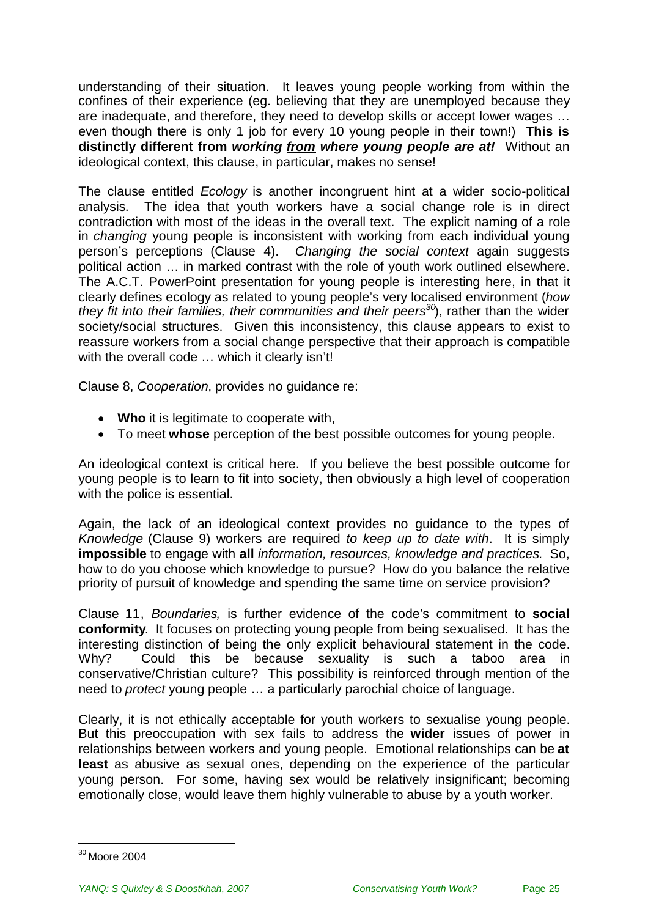understanding of their situation. It leaves young people working from within the confines of their experience (eg. believing that they are unemployed because they are inadequate, and therefore, they need to develop skills or accept lower wages … even though there is only 1 job for every 10 young people in their town!) **This is distinctly different from** *working from where young people are at!* Without an ideological context, this clause, in particular, makes no sense!

The clause entitled *Ecology* is another incongruent hint at a wider socio-political analysis. The idea that youth workers have a social change role is in direct contradiction with most of the ideas in the overall text. The explicit naming of a role in *changing* young people is inconsistent with working from each individual young person's perceptions (Clause 4). *Changing the social context* again suggests political action … in marked contrast with the role of youth work outlined elsewhere. The A.C.T. PowerPoint presentation for young people is interesting here, in that it clearly defines ecology as related to young people's very localised environment (*how they fit into their families, their communities and their peers[30](#page-24-0)*), rather than the wider society/social structures. Given this inconsistency, this clause appears to exist to reassure workers from a social change perspective that their approach is compatible with the overall code ... which it clearly isn't!

Clause 8, *Cooperation*, provides no guidance re:

- **Who** it is legitimate to cooperate with,
- To meet **whose** perception of the best possible outcomes for young people.

An ideological context is critical here. If you believe the best possible outcome for young people is to learn to fit into society, then obviously a high level of cooperation with the police is essential.

Again, the lack of an ideological context provides no guidance to the types of *Knowledge* (Clause 9) workers are required *to keep up to date with*. It is simply **impossible** to engage with **all** *information, resources, knowledge and practices.* So, how to do you choose which knowledge to pursue? How do you balance the relative priority of pursuit of knowledge and spending the same time on service provision?

Clause 11, *Boundaries,* is further evidence of the code's commitment to **social conformity**. It focuses on protecting young people from being sexualised. It has the interesting distinction of being the only explicit behavioural statement in the code. Why? Could this be because sexuality is such a taboo area in conservative/Christian culture? This possibility is reinforced through mention of the need to *protect* young people … a particularly parochial choice of language.

Clearly, it is not ethically acceptable for youth workers to sexualise young people. But this preoccupation with sex fails to address the **wider** issues of power in relationships between workers and young people. Emotional relationships can be **at least** as abusive as sexual ones, depending on the experience of the particular young person. For some, having sex would be relatively insignificant; becoming emotionally close, would leave them highly vulnerable to abuse by a youth worker.

<span id="page-24-0"></span><sup>30</sup> Moore 2004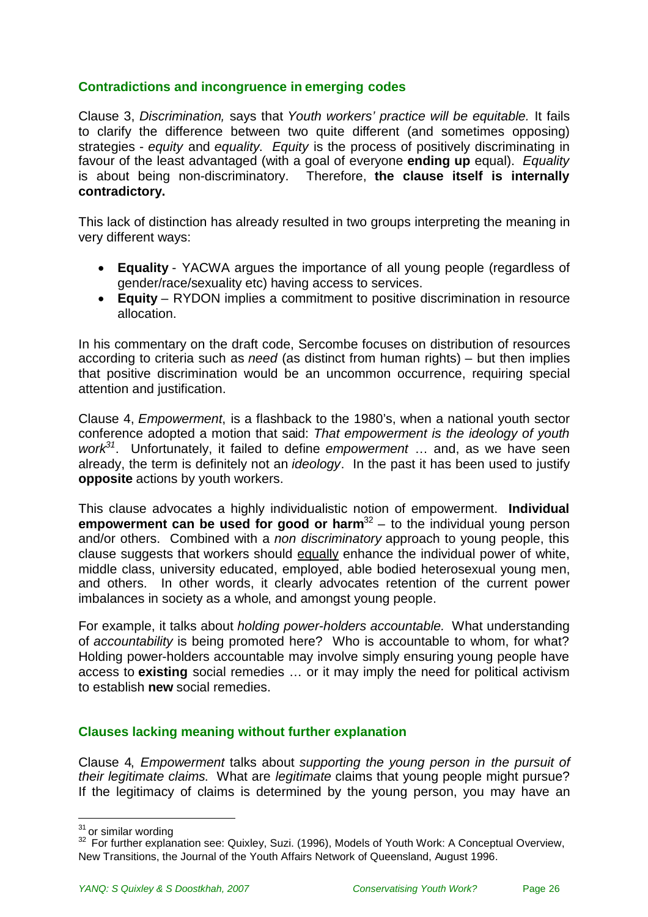### **Contradictions and incongruence in emerging codes**

Clause 3, *Discrimination,* says that *Youth workers' practice will be equitable.* It fails to clarify the difference between two quite different (and sometimes opposing) strategies - *equity* and *equality*. *Equity* is the process of positively discriminating in favour of the least advantaged (with a goal of everyone **ending up** equal). *Equality* is about being non-discriminatory. Therefore, **the clause itself is internally contradictory.**

This lack of distinction has already resulted in two groups interpreting the meaning in very different ways:

- **Equality** YACWA argues the importance of all young people (regardless of gender/race/sexuality etc) having access to services.
- **Equity** RYDON implies a commitment to positive discrimination in resource allocation.

In his commentary on the draft code, Sercombe focuses on distribution of resources according to criteria such as *need* (as distinct from human rights) – but then implies that positive discrimination would be an uncommon occurrence, requiring special attention and justification.

Clause 4, *Empowerment*, is a flashback to the 1980's, when a national youth sector conference adopted a motion that said: *That empowerment is the ideology of youth work[31](#page-25-0)*. Unfortunately, it failed to define *empowerment* … and, as we have seen already, the term is definitely not an *ideology*. In the past it has been used to justify **opposite** actions by youth workers.

This clause advocates a highly individualistic notion of empowerment. **Individual empowerment can be used for good or harm**<sup>[32](#page-25-1)</sup> – to the individual young person and/or others. Combined with a *non discriminatory* approach to young people, this clause suggests that workers should equally enhance the individual power of white, middle class, university educated, employed, able bodied heterosexual young men, and others. In other words, it clearly advocates retention of the current power imbalances in society as a whole, and amongst young people.

For example, it talks about *holding power-holders accountable.* What understanding of *accountability* is being promoted here? Who is accountable to whom, for what? Holding power-holders accountable may involve simply ensuring young people have access to **existing** social remedies … or it may imply the need for political activism to establish **new** social remedies.

### **Clauses lacking meaning without further explanation**

Clause 4, *Empowerment* talks about *supporting the young person in the pursuit of their legitimate claims*. What are *legitimate* claims that young people might pursue? If the legitimacy of claims is determined by the young person, you may have an

<span id="page-25-0"></span><sup>&</sup>lt;sup>31</sup> or similar wording

<span id="page-25-1"></span><sup>&</sup>lt;sup>32</sup> For further explanation see: Quixley, Suzi. (1996), Models of Youth Work: A Conceptual Overview, New Transitions, the Journal of the Youth Affairs Network of Queensland, August 1996.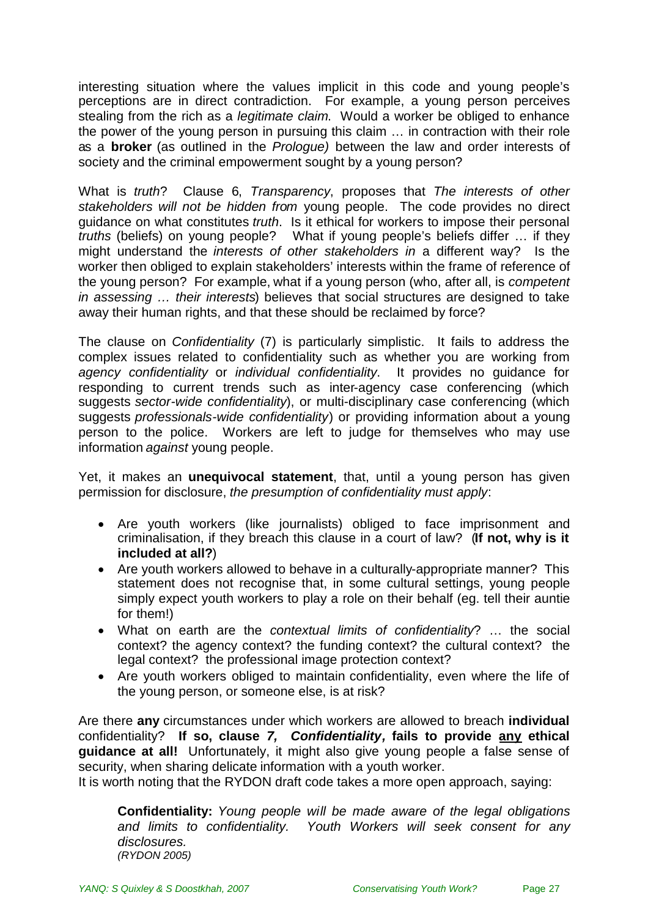interesting situation where the values implicit in this code and young people's perceptions are in direct contradiction. For example, a young person perceives stealing from the rich as a *legitimate claim*. Would a worker be obliged to enhance the power of the young person in pursuing this claim … in contraction with their role as a **broker** (as outlined in the *Prologue)* between the law and order interests of society and the criminal empowerment sought by a young person?

What is *truth*? Clause 6, *Transparency*, proposes that *The interests of other stakeholders will not be hidden from* young people. The code provides no direct guidance on what constitutes *truth*. Is it ethical for workers to impose their personal *truths* (beliefs) on young people? What if young people's beliefs differ … if they might understand the *interests of other stakeholders in* a different way? Is the worker then obliged to explain stakeholders' interests within the frame of reference of the young person? For example, what if a young person (who, after all, is *competent in assessing … their interests*) believes that social structures are designed to take away their human rights, and that these should be reclaimed by force?

The clause on *Confidentiality* (7) is particularly simplistic. It fails to address the complex issues related to confidentiality such as whether you are working from *agency confidentiality* or *individual confidentiality*. It provides no guidance for responding to current trends such as inter-agency case conferencing (which suggests *sector-wide confidentiality*), or multi-disciplinary case conferencing (which suggests *professionals-wide confidentiality*) or providing information about a young person to the police. Workers are left to judge for themselves who may use information *against* young people.

Yet, it makes an **unequivocal statement**, that, until a young person has given permission for disclosure, *the presumption of confidentiality must apply*:

- Are youth workers (like journalists) obliged to face imprisonment and criminalisation, if they breach this clause in a court of law? (**If not, why is it included at all?**)
- Are youth workers allowed to behave in a culturally-appropriate manner? This statement does not recognise that, in some cultural settings, young people simply expect youth workers to play a role on their behalf (eg. tell their auntie for them!)
- What on earth are the *contextual limits of confidentiality*? … the social context? the agency context? the funding context? the cultural context? the legal context? the professional image protection context?
- Are youth workers obliged to maintain confidentiality, even where the life of the young person, or someone else, is at risk?

Are there **any** circumstances under which workers are allowed to breach **individual** confidentiality? **If so, clause** *7, Confidentiality,* **fails to provide any ethical guidance at all!** Unfortunately, it might also give young people a false sense of security, when sharing delicate information with a youth worker.

It is worth noting that the RYDON draft code takes a more open approach, saying:

**Confidentiality:** *Young people will be made aware of the legal obligations and limits to confidentiality. Youth Workers will seek consent for any disclosures. (RYDON 2005)*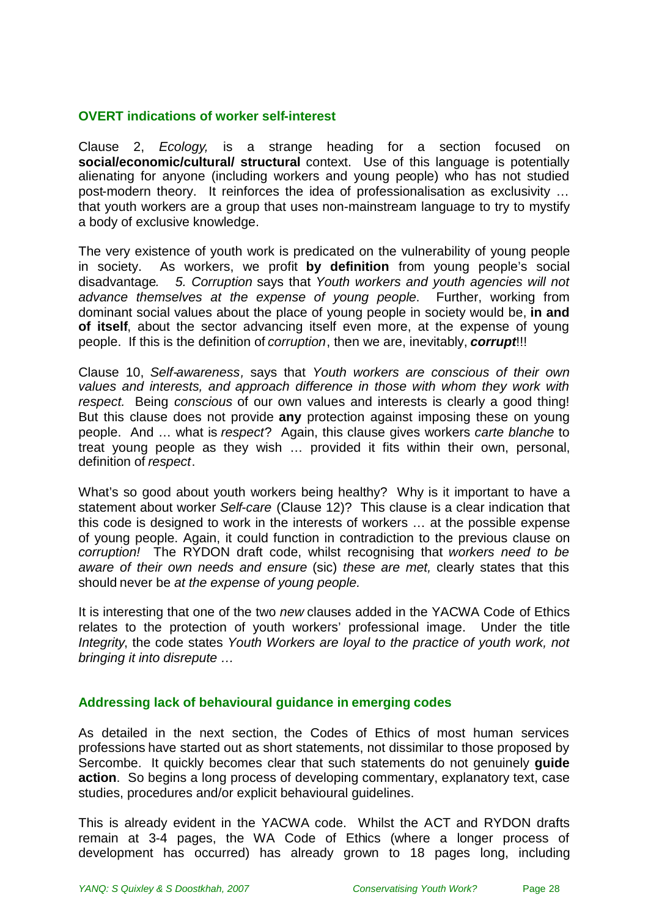#### **OVERT indications of worker self-interest**

Clause 2, *Ecology,* is a strange heading for a section focused on **social/economic/cultural/ structural** context. Use of this language is potentially alienating for anyone (including workers and young people) who has not studied post-modern theory. It reinforces the idea of professionalisation as exclusivity … that youth workers are a group that uses non-mainstream language to try to mystify a body of exclusive knowledge.

The very existence of youth work is predicated on the vulnerability of young people in society. As workers, we profit **by definition** from young people's social disadvantage*. 5. Corruption* says that *Youth workers and youth agencies will not advance themselves at the expense of young people*. Further, working from dominant social values about the place of young people in society would be, **in and of itself**, about the sector advancing itself even more, at the expense of young people. If this is the definition of *corruption*, then we are, inevitably, *corrupt*!!!

Clause 10, *Self-awareness,* says that *Youth workers are conscious of their own values and interests, and approach difference in those with whom they work with respect.* Being *conscious* of our own values and interests is clearly a good thing! But this clause does not provide **any** protection against imposing these on young people. And … what is *respect*? Again, this clause gives workers *carte blanche* to treat young people as they wish … provided it fits within their own, personal, definition of *respect*.

What's so good about youth workers being healthy? Why is it important to have a statement about worker *Self-care* (Clause 12)? This clause is a clear indication that this code is designed to work in the interests of workers … at the possible expense of young people. Again, it could function in contradiction to the previous clause on *corruption!* The RYDON draft code, whilst recognising that *workers need to be aware of their own needs and ensure* (sic) *these are met,* clearly states that this should never be *at the expense of young people.*

It is interesting that one of the two *new* clauses added in the YACWA Code of Ethics relates to the protection of youth workers' professional image. Under the title *Integrity*, the code states *Youth Workers are loyal to the practice of youth work, not bringing it into disrepute …*

### **Addressing lack of behavioural guidance in emerging codes**

As detailed in the next section, the Codes of Ethics of most human services professions have started out as short statements, not dissimilar to those proposed by Sercombe. It quickly becomes clear that such statements do not genuinely **guide action**. So begins a long process of developing commentary, explanatory text, case studies, procedures and/or explicit behavioural guidelines.

This is already evident in the YACWA code. Whilst the ACT and RYDON drafts remain at 3-4 pages, the WA Code of Ethics (where a longer process of development has occurred) has already grown to 18 pages long, including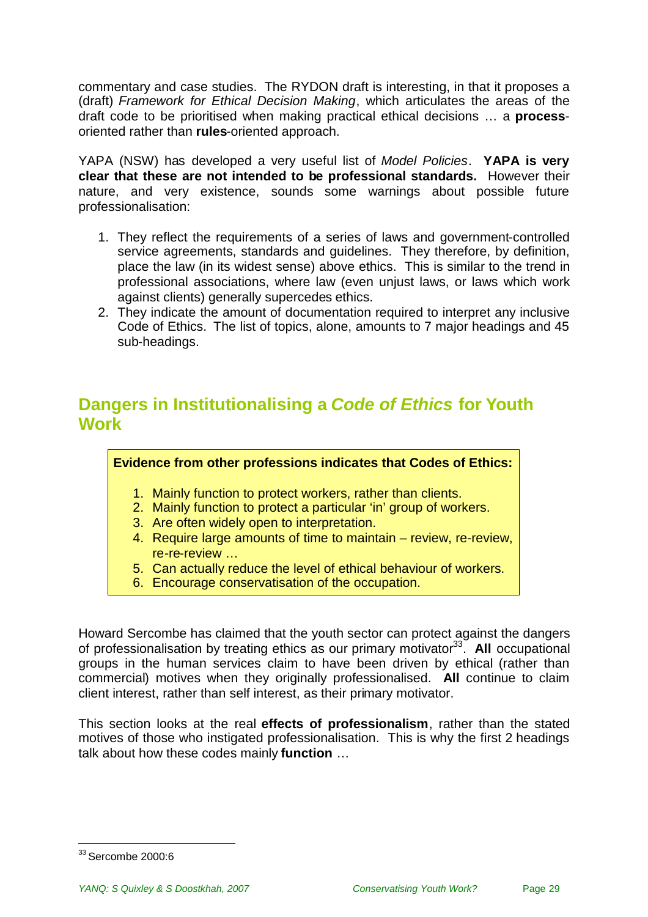commentary and case studies. The RYDON draft is interesting, in that it proposes a (draft) *Framework for Ethical Decision Making*, which articulates the areas of the draft code to be prioritised when making practical ethical decisions … a **process**oriented rather than **rules**-oriented approach.

YAPA (NSW) has developed a very useful list of *Model Policies*. **YAPA is very clear that these are not intended to be professional standards.** However their nature, and very existence, sounds some warnings about possible future professionalisation:

- 1. They reflect the requirements of a series of laws and government-controlled service agreements, standards and guidelines. They therefore, by definition, place the law (in its widest sense) above ethics. This is similar to the trend in professional associations, where law (even unjust laws, or laws which work against clients) generally supercedes ethics.
- 2. They indicate the amount of documentation required to interpret any inclusive Code of Ethics. The list of topics, alone, amounts to 7 major headings and 45 sub-headings.

# <span id="page-28-0"></span>**Dangers in Institutionalising a** *Code of Ethics* **for Youth Work**

**Evidence from other professions indicates that Codes of Ethics:**

- 1. Mainly function to protect workers, rather than clients.
- 2. Mainly function to protect a particular 'in' group of workers.
- 3. Are often widely open to interpretation.
- 4. Require large amounts of time to maintain review, re-review, re-re-review …
- 5. Can actually reduce the level of ethical behaviour of workers.
- 6. Encourage conservatisation of the occupation.

Howard Sercombe has claimed that the youth sector can protect against the dangers of professionalisation by treating ethics as our primary motivator<sup>[33](#page-28-1)</sup>. All occupational groups in the human services claim to have been driven by ethical (rather than commercial) motives when they originally professionalised. **All** continue to claim client interest, rather than self interest, as their primary motivator.

This section looks at the real **effects of professionalism**, rather than the stated motives of those who instigated professionalisation. This is why the first 2 headings talk about how these codes mainly **function** …

<span id="page-28-1"></span><sup>33</sup> Sercombe 2000:6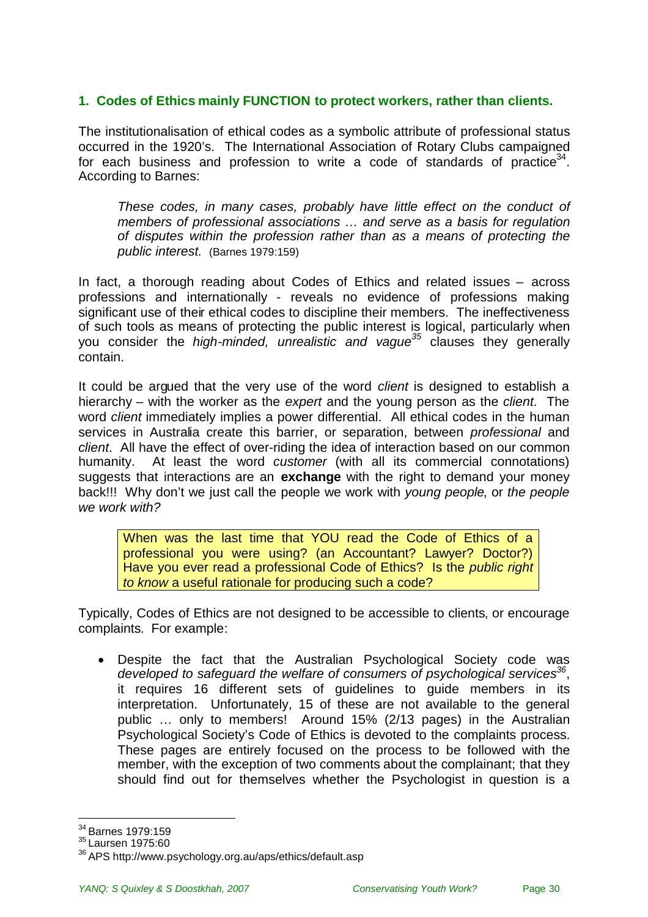### **1. Codes of Ethics mainly FUNCTION to protect workers, rather than clients.**

The institutionalisation of ethical codes as a symbolic attribute of professional status occurred in the 1920's. The International Association of Rotary Clubs campaigned for each business and profession to write a code of standards of practice<sup>[34](#page-29-0)</sup>. According to Barnes:

*These codes, in many cases, probably have little effect on the conduct of members of professional associations … and serve as a basis for regulation of disputes within the profession rather than as a means of protecting the public interest.* (Barnes 1979:159)

In fact, a thorough reading about Codes of Ethics and related issues – across professions and internationally - reveals no evidence of professions making significant use of their ethical codes to discipline their members. The ineffectiveness of such tools as means of protecting the public interest is logical, particularly when you consider the *high-minded, unrealistic and vague[35](#page-29-1)* clauses they generally contain.

It could be argued that the very use of the word *client* is designed to establish a hierarchy – with the worker as the *expert* and the young person as the *client*. The word *client* immediately implies a power differential. All ethical codes in the human services in Australia create this barrier, or separation, between *professional* and *client*. All have the effect of over-riding the idea of interaction based on our common humanity. At least the word *customer* (with all its commercial connotations) suggests that interactions are an **exchange** with the right to demand your money back!!! Why don't we just call the people we work with *young people*, or *the people we work with?*

When was the last time that YOU read the Code of Ethics of a professional you were using? (an Accountant? Lawyer? Doctor?) Have you ever read a professional Code of Ethics? Is the *public right to know* a useful rationale for producing such a code?

Typically, Codes of Ethics are not designed to be accessible to clients, or encourage complaints. For example:

 Despite the fact that the Australian Psychological Society code was *developed to safeguard the welfare of consumers of psychological services[36](#page-29-2)* , it requires 16 different sets of guidelines to guide members in its interpretation. Unfortunately, 15 of these are not available to the general public … only to members! Around 15% (2/13 pages) in the Australian Psychological Society's Code of Ethics is devoted to the complaints process. These pages are entirely focused on the process to be followed with the member, with the exception of two comments about the complainant; that they should find out for themselves whether the Psychologist in question is a

<span id="page-29-0"></span><sup>34</sup> Barnes 1979:159

<span id="page-29-1"></span><sup>35</sup> Laursen 1975:60

<span id="page-29-2"></span><sup>36</sup> APS http://www.psychology.org.au/aps/ethics/default.asp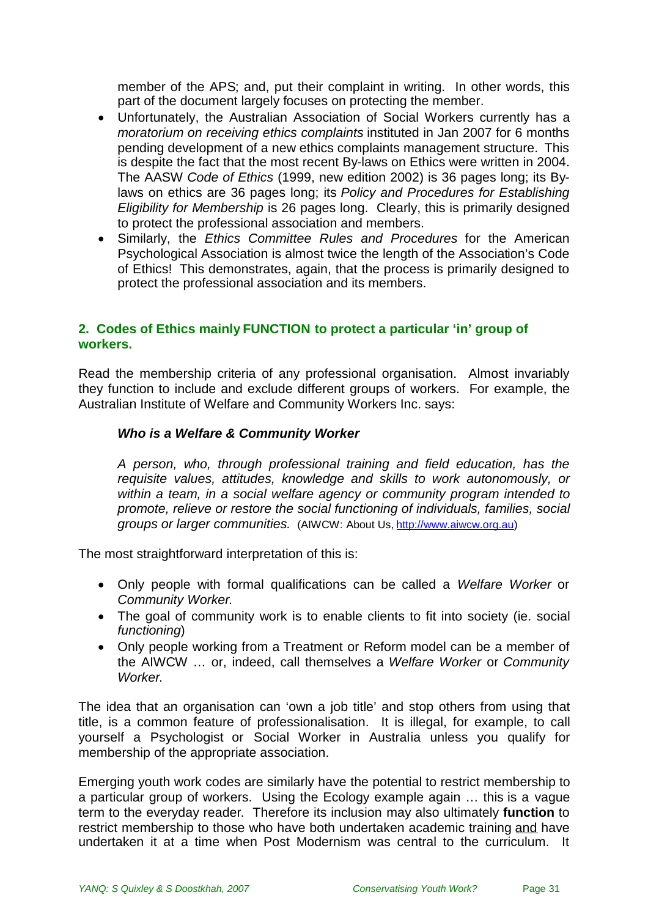member of the APS; and, put their complaint in writing. In other words, this part of the document largely focuses on protecting the member.

- Unfortunately, the Australian Association of Social Workers currently has a *moratorium on receiving ethics complaints* instituted in Jan 2007 for 6 months pending development of a new ethics complaints management structure. This is despite the fact that the most recent By-laws on Ethics were written in 2004. The AASW *Code of Ethics* (1999, new edition 2002) is 36 pages long; its Bylaws on ethics are 36 pages long; its *Policy and Procedures for Establishing Eligibility for Membership* is 26 pages long. Clearly, this is primarily designed to protect the professional association and members.
- Similarly, the *Ethics Committee Rules and Procedures* for the American Psychological Association is almost twice the length of the Association's Code of Ethics! This demonstrates, again, that the process is primarily designed to protect the professional association and its members.

### **2. Codes of Ethics mainly FUNCTION to protect a particular 'in' group of workers.**

Read the membership criteria of any professional organisation. Almost invariably they function to include and exclude different groups of workers. For example, the Australian Institute of Welfare and Community Workers Inc. says:

### *Who is a Welfare & Community Worker*

*A person, who, through professional training and field education, has the requisite values, attitudes, knowledge and skills to work autonomously, or within a team, in a social welfare agency or community program intended to promote, relieve or restore the social functioning of individuals, families, social groups or larger communities.* (AIWCW: About Us, [http://www.aiwcw.org.au\)](http://www.aiwcw.org.au/)

The most straightforward interpretation of this is:

- Only people with formal qualifications can be called a *Welfare Worker* or *Community Worker*.
- The goal of community work is to enable clients to fit into society (ie. social *functioning*)
- Only people working from a Treatment or Reform model can be a member of the AIWCW … or, indeed, call themselves a *Welfare Worker* or *Community Worker*.

The idea that an organisation can 'own a job title' and stop others from using that title, is a common feature of professionalisation. It is illegal, for example, to call yourself a Psychologist or Social Worker in Australia unless you qualify for membership of the appropriate association.

Emerging youth work codes are similarly have the potential to restrict membership to a particular group of workers. Using the Ecology example again … this is a vague term to the everyday reader. Therefore its inclusion may also ultimately **function** to restrict membership to those who have both undertaken academic training and have undertaken it at a time when Post Modernism was central to the curriculum. It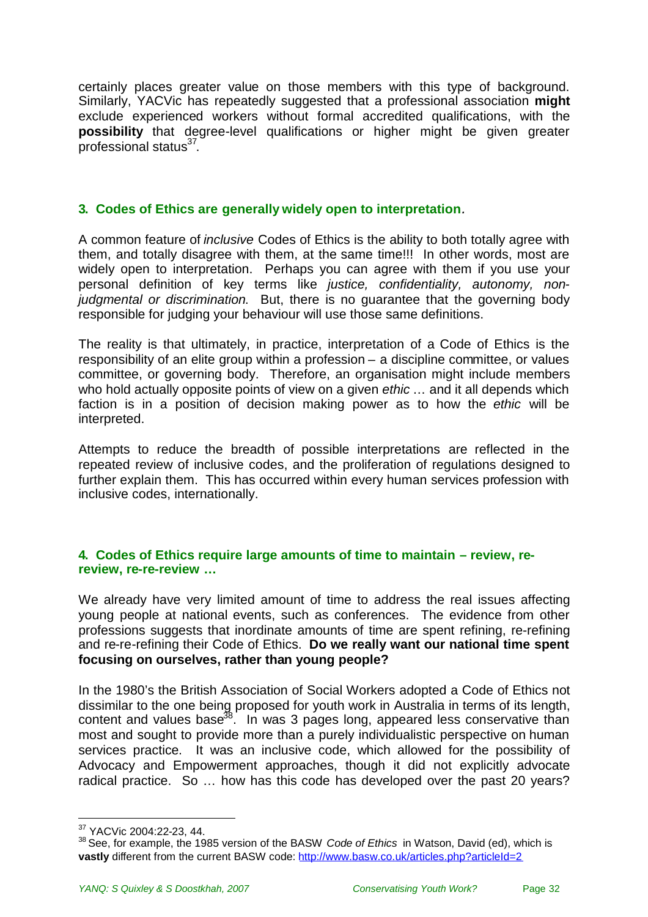certainly places greater value on those members with this type of background. Similarly, YACVic has repeatedly suggested that a professional association **might** exclude experienced workers without formal accredited qualifications, with the **possibility** that degree-level qualifications or higher might be given greater .<br>professional status<sup>[37](#page-31-0)</sup>.

#### **3. Codes of Ethics are generally widely open to interpretation***.*

A common feature of *inclusive* Codes of Ethics is the ability to both totally agree with them, and totally disagree with them, at the same time!!! In other words, most are widely open to interpretation. Perhaps you can agree with them if you use your personal definition of key terms like *justice, confidentiality, autonomy, nonjudgmental or discrimination*. But, there is no guarantee that the governing body responsible for judging your behaviour will use those same definitions.

The reality is that ultimately, in practice, interpretation of a Code of Ethics is the responsibility of an elite group within a profession – a discipline committee, or values committee, or governing body. Therefore, an organisation might include members who hold actually opposite points of view on a given *ethic* … and it all depends which faction is in a position of decision making power as to how the *ethic* will be interpreted.

Attempts to reduce the breadth of possible interpretations are reflected in the repeated review of inclusive codes, and the proliferation of regulations designed to further explain them. This has occurred within every human services profession with inclusive codes, internationally.

#### **4. Codes of Ethics require large amounts of time to maintain – review, rereview, re-re-review …**

We already have very limited amount of time to address the real issues affecting young people at national events, such as conferences. The evidence from other professions suggests that inordinate amounts of time are spent refining, re-refining and re-re-refining their Code of Ethics. **Do we really want our national time spent focusing on ourselves, rather than young people?**

In the 1980's the British Association of Social Workers adopted a Code of Ethics not dissimilar to the one being proposed for youth work in Australia in terms of its length, contentand values base<sup>38</sup>. In was 3 pages long, appeared less conservative than most and sought to provide more than a purely individualistic perspective on human services practice. It was an inclusive code, which allowed for the possibility of Advocacy and Empowerment approaches, though it did not explicitly advocate radical practice. So … how has this code has developed over the past 20 years?

<span id="page-31-0"></span><sup>37</sup> YACVic 2004:22-23, 44.

<span id="page-31-1"></span><sup>38</sup> See, for example, the 1985 version of the BASW *Code of Ethics* in Watson, David (ed), which is **vastly** different from the current BASW code: http://www.basw.co.uk/articles.php?articleId=2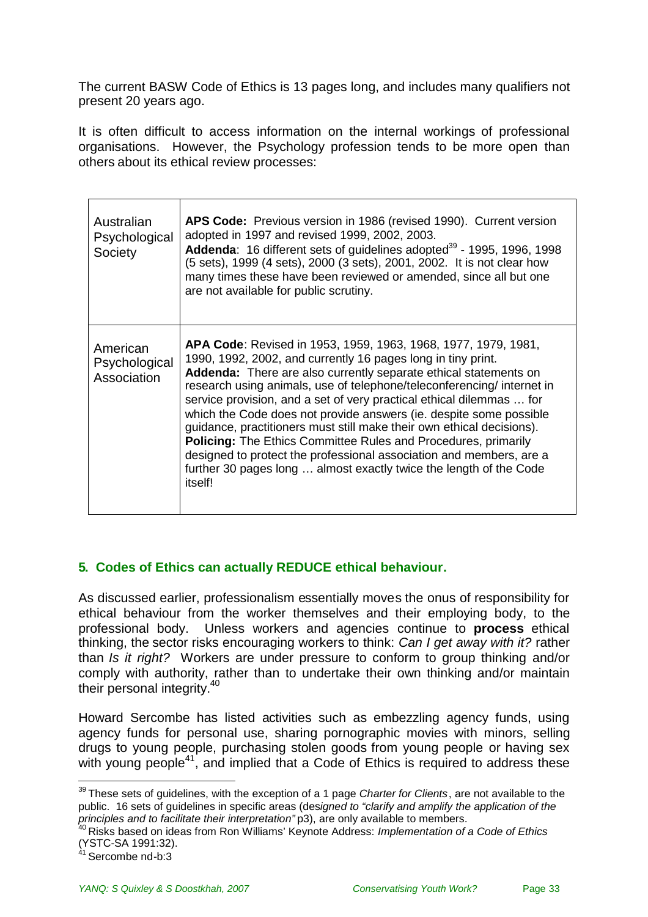The current BASW Code of Ethics is 13 pages long, and includes many qualifiers not present 20 years ago.

It is often difficult to access information on the internal workings of professional organisations. However, the Psychology profession tends to be more open than others about its ethical review processes:

| Australian<br>Psychological<br>Society   | APS Code: Previous version in 1986 (revised 1990). Current version<br>adopted in 1997 and revised 1999, 2002, 2003.<br>Addenda: 16 different sets of guidelines adopted <sup>39</sup> - 1995, 1996, 1998<br>(5 sets), 1999 (4 sets), 2000 (3 sets), 2001, 2002. It is not clear how<br>many times these have been reviewed or amended, since all but one<br>are not available for public scrutiny.                                                                                                                                                                                                                                                                                                                                                 |
|------------------------------------------|----------------------------------------------------------------------------------------------------------------------------------------------------------------------------------------------------------------------------------------------------------------------------------------------------------------------------------------------------------------------------------------------------------------------------------------------------------------------------------------------------------------------------------------------------------------------------------------------------------------------------------------------------------------------------------------------------------------------------------------------------|
| American<br>Psychological<br>Association | <b>APA Code:</b> Revised in 1953, 1959, 1963, 1968, 1977, 1979, 1981,<br>1990, 1992, 2002, and currently 16 pages long in tiny print.<br>Addenda: There are also currently separate ethical statements on<br>research using animals, use of telephone/teleconferencing/ internet in<br>service provision, and a set of very practical ethical dilemmas  for<br>which the Code does not provide answers (ie. despite some possible<br>guidance, practitioners must still make their own ethical decisions).<br><b>Policing:</b> The Ethics Committee Rules and Procedures, primarily<br>designed to protect the professional association and members, are a<br>further 30 pages long  almost exactly twice the length of the Code<br><i>itself!</i> |

### **5. Codes of Ethics can actually REDUCE ethical behaviour.**

As discussed earlier, professionalism essentially moves the onus of responsibility for ethical behaviour from the worker themselves and their employing body, to the professional body. Unless workers and agencies continue to **process** ethical thinking, the sector risks encouraging workers to think: *Can I get away with it?* rather than *Is it right?* Workers are under pressure to conform to group thinking and/or comply with authority, rather than to undertake their own thinking and/or maintain their personal integrity.<sup>[40](#page-32-1)</sup>

Howard Sercombe has listed activities such as embezzling agency funds, using agency funds for personal use, sharing pornographic movies with minors, selling drugs to young people, purchasing stolen goods from young people or having sex with young people<sup>[41](#page-32-2)</sup>, and implied that a Code of Ethics is required to address these

<span id="page-32-0"></span><sup>39</sup> These sets of guidelines, with the exception of a 1 page *Charter for Clients*, are not available to the public. 16 sets of guidelines in specific areas (des*igned to "clarify and amplify the application of the principles and to facilitate their interpretation"* p3), are only available to members.

<span id="page-32-1"></span><sup>40</sup> Risks based on ideas from Ron Williams' Keynote Address: *Implementation of a Code of Ethics* (YSTC-SA 1991:32).

<span id="page-32-2"></span>Sercombe nd-b:3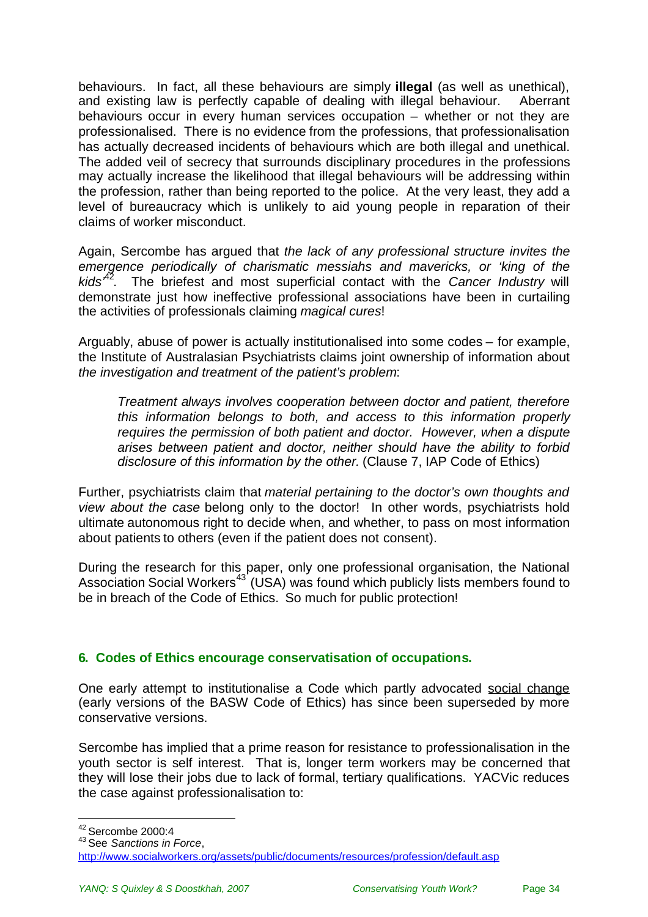behaviours. In fact, all these behaviours are simply **illegal** (as well as unethical), and existing law is perfectly capable of dealing with illegal behaviour. Aberrant behaviours occur in every human services occupation – whether or not they are professionalised. There is no evidence from the professions, that professionalisation has actually decreased incidents of behaviours which are both illegal and unethical. The added veil of secrecy that surrounds disciplinary procedures in the professions may actually increase the likelihood that illegal behaviours will be addressing within the profession, rather than being reported to the police. At the very least, they add a level of bureaucracy which is unlikely to aid young people in reparation of their claims of worker misconduct.

Again, Sercombe has argued that *the lack of any professional structure invites the emergence periodically of charismatic messiahs and mavericks, or 'king of the kids'*[42](#page-33-0). The briefest and most superficial contact with the *Cancer Industry* will demonstrate just how ineffective professional associations have been in curtailing the activities of professionals claiming *magical cures*!

Arguably, abuse of power is actually institutionalised into some codes – for example, the Institute of Australasian Psychiatrists claims joint ownership of information about *the investigation and treatment of the patient's problem*:

*Treatment always involves cooperation between doctor and patient, therefore this information belongs to both, and access to this information properly requires the permission of both patient and doctor. However, when a dispute arises between patient and doctor, neither should have the ability to forbid disclosure of this information by the other.* (Clause 7, IAP Code of Ethics)

Further, psychiatrists claim that *material pertaining to the doctor's own thoughts and view about the case* belong only to the doctor! In other words, psychiatrists hold ultimate autonomous right to decide when, and whether, to pass on most information about patients to others (even if the patient does not consent).

During the research for this paper, only one professional organisation, the National Association Social Workers<sup>[43](#page-33-1)</sup> (USA) was found which publicly lists members found to be in breach of the Code of Ethics. So much for public protection!

### **6. Codes of Ethics encourage conservatisation of occupations.**

One early attempt to institutionalise a Code which partly advocated social change (early versions of the BASW Code of Ethics) has since been superseded by more conservative versions.

Sercombe has implied that a prime reason for resistance to professionalisation in the youth sector is self interest. That is, longer term workers may be concerned that they will lose their jobs due to lack of formal, tertiary qualifications. YACVic reduces the case against professionalisation to:

<span id="page-33-0"></span><sup>42</sup> Sercombe 2000:4

<span id="page-33-1"></span><sup>43</sup> See *Sanctions in Force*,

http://www.socialworkers.org/assets/public/documents/resources/profession/default.asp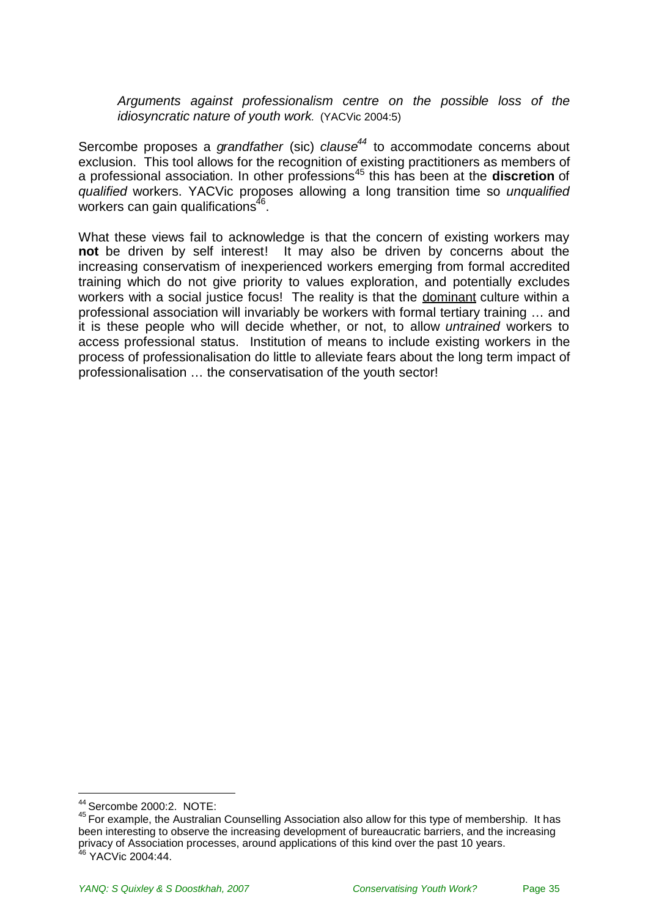*Arguments against professionalism centre on the possible loss of the idiosyncratic nature of youth work.* (YACVic 2004:5)

Sercombe proposes a *grandfather* (sic) *clause[44](#page-34-0)* to accommodate concerns about exclusion. This tool allows for the recognition of existing practitioners as members of a professional association. In other professions[45](#page-34-1) this has been at the **discretion** of *qualified* workers. YACVic proposes allowing a long transition time so *unqualified* workers can gain qualifications $^{46}$  $^{46}$  $^{46}$ .

What these views fail to acknowledge is that the concern of existing workers may **not** be driven by self interest! It may also be driven by concerns about the increasing conservatism of inexperienced workers emerging from formal accredited training which do not give priority to values exploration, and potentially excludes workers with a social justice focus! The reality is that the dominant culture within a professional association will invariably be workers with formal tertiary training … and it is these people who will decide whether, or not, to allow *untrained* workers to access professional status. Institution of means to include existing workers in the process of professionalisation do little to alleviate fears about the long term impact of professionalisation … the conservatisation of the youth sector!

<span id="page-34-0"></span><sup>44</sup> Sercombe 2000:2. NOTE:

<span id="page-34-2"></span><span id="page-34-1"></span><sup>45</sup> For example, the Australian Counselling Association also allow for this type of membership. It has been interesting to observe the increasing development of bureaucratic barriers, and the increasing privacy of Association processes, around applications of this kind over the past 10 years.  $46$  YACVic 2004:44.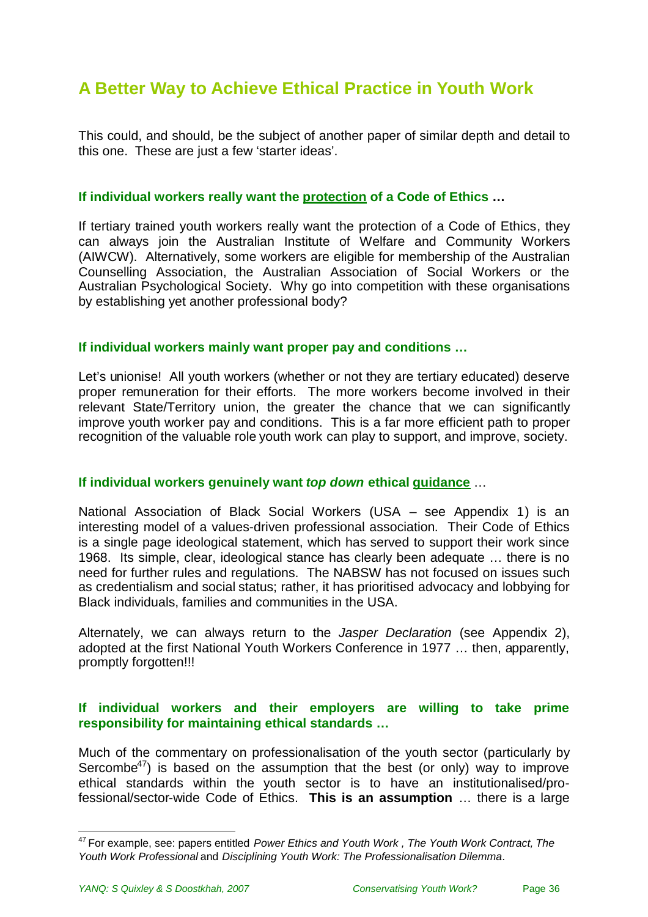# <span id="page-35-0"></span>**A Better Way to Achieve Ethical Practice in Youth Work**

This could, and should, be the subject of another paper of similar depth and detail to this one. These are just a few 'starter ideas'.

#### **If individual workers really want the protection of a Code of Ethics …**

If tertiary trained youth workers really want the protection of a Code of Ethics, they can always join the Australian Institute of Welfare and Community Workers (AIWCW). Alternatively, some workers are eligible for membership of the Australian Counselling Association, the Australian Association of Social Workers or the Australian Psychological Society. Why go into competition with these organisations by establishing yet another professional body?

#### **If individual workers mainly want proper pay and conditions …**

Let's unionise! All youth workers (whether or not they are tertiary educated) deserve proper remuneration for their efforts. The more workers become involved in their relevant State/Territory union, the greater the chance that we can significantly improve youth worker pay and conditions. This is a far more efficient path to proper recognition of the valuable role youth work can play to support, and improve, society.

#### **If individual workers genuinely want** *top down* **ethical guidance** …

National Association of Black Social Workers (USA – see Appendix 1) is an interesting model of a values-driven professional association. Their Code of Ethics is a single page ideological statement, which has served to support their work since 1968. Its simple, clear, ideological stance has clearly been adequate … there is no need for further rules and regulations. The NABSW has not focused on issues such as credentialism and social status; rather, it has prioritised advocacy and lobbying for Black individuals, families and communities in the USA.

Alternately, we can always return to the *Jasper Declaration* (see Appendix 2), adopted at the first National Youth Workers Conference in 1977 … then, apparently, promptly forgotten!!!

#### **If individual workers and their employers are willing to take prime responsibility for maintaining ethical standards …**

Much of the commentary on professionalisation of the youth sector (particularly by Sercombe<sup>[47](#page-35-1)</sup>) is based on the assumption that the best (or only) way to improve ethical standards within the youth sector is to have an institutionalised/professional/sector-wide Code of Ethics. **This is an assumption** … there is a large

<span id="page-35-1"></span><sup>47</sup> For example, see: papers entitled *Power Ethics and Youth Work , The Youth Work Contract, The Youth Work Professional* and *Disciplining Youth Work: The Professionalisation Dilemma*.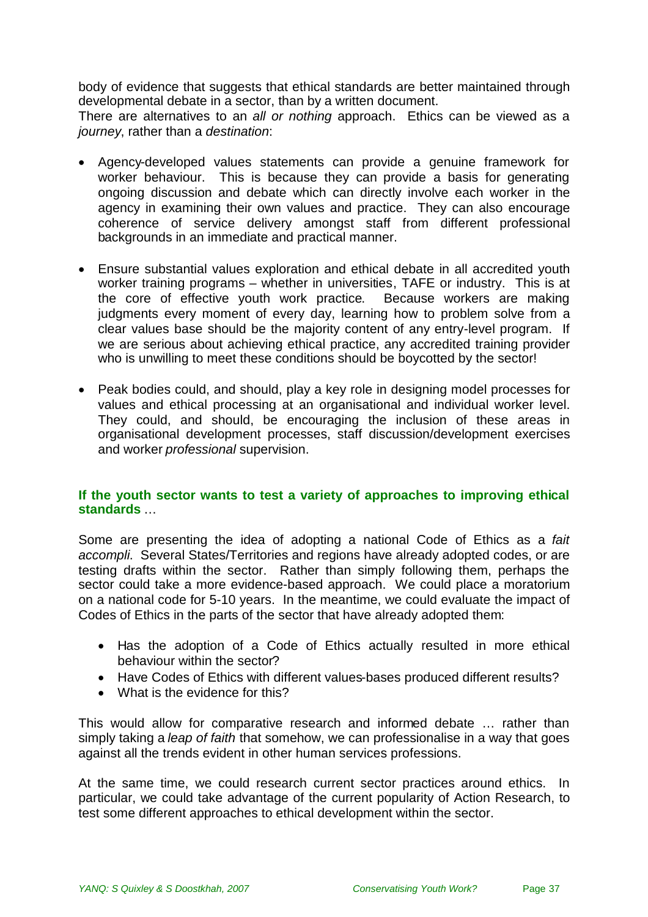body of evidence that suggests that ethical standards are better maintained through developmental debate in a sector, than by a written document.

There are alternatives to an *all or nothing* approach. Ethics can be viewed as a *journey*, rather than a *destination*:

- Agency-developed values statements can provide a genuine framework for worker behaviour. This is because they can provide a basis for generating ongoing discussion and debate which can directly involve each worker in the agency in examining their own values and practice. They can also encourage coherence of service delivery amongst staff from different professional backgrounds in an immediate and practical manner.
- Ensure substantial values exploration and ethical debate in all accredited youth worker training programs – whether in universities, TAFE or industry. This is at the core of effective youth work practice. Because workers are making judgments every moment of every day, learning how to problem solve from a clear values base should be the majority content of any entry-level program. If we are serious about achieving ethical practice, any accredited training provider who is unwilling to meet these conditions should be boycotted by the sector!
- Peak bodies could, and should, play a key role in designing model processes for values and ethical processing at an organisational and individual worker level. They could, and should, be encouraging the inclusion of these areas in organisational development processes, staff discussion/development exercises and worker *professional* supervision.

### **If the youth sector wants to test a variety of approaches to improving ethical standards** …

Some are presenting the idea of adopting a national Code of Ethics as a *fait accompli*. Several States/Territories and regions have already adopted codes, or are testing drafts within the sector. Rather than simply following them, perhaps the sector could take a more evidence-based approach. We could place a moratorium on a national code for 5-10 years. In the meantime, we could evaluate the impact of Codes of Ethics in the parts of the sector that have already adopted them:

- Has the adoption of a Code of Ethics actually resulted in more ethical behaviour within the sector?
- Have Codes of Ethics with different values-bases produced different results?
- What is the evidence for this?

This would allow for comparative research and informed debate … rather than simply taking a *leap of faith* that somehow, we can professionalise in a way that goes against all the trends evident in other human services professions.

At the same time, we could research current sector practices around ethics. In particular, we could take advantage of the current popularity of Action Research, to test some different approaches to ethical development within the sector.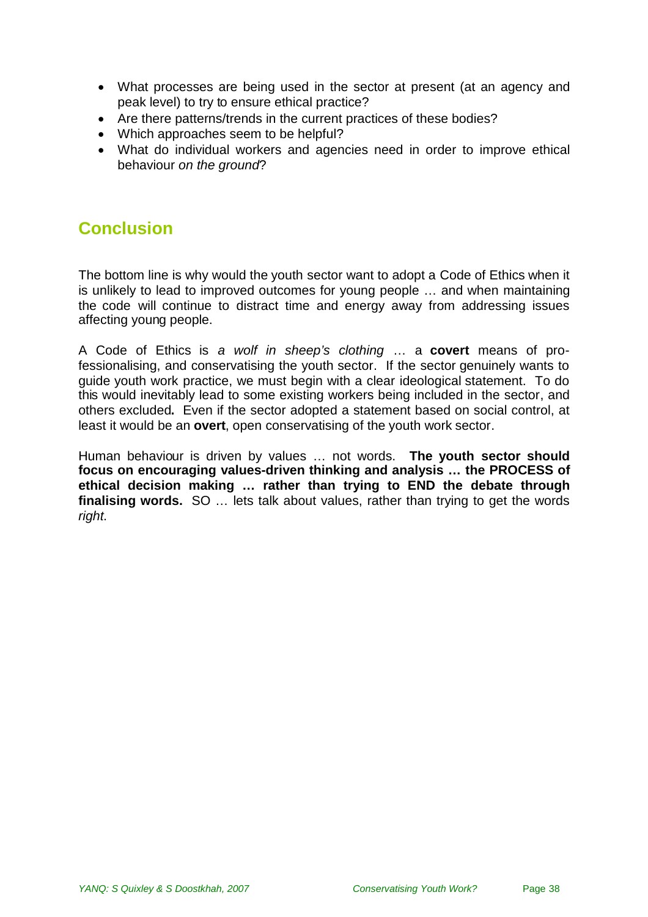- What processes are being used in the sector at present (at an agency and peak level) to try to ensure ethical practice?
- Are there patterns/trends in the current practices of these bodies?
- Which approaches seem to be helpful?
- What do individual workers and agencies need in order to improve ethical behaviour *on the ground*?

## <span id="page-37-0"></span>**Conclusion**

The bottom line is why would the youth sector want to adopt a Code of Ethics when it is unlikely to lead to improved outcomes for young people … and when maintaining the code will continue to distract time and energy away from addressing issues affecting young people.

A Code of Ethics is *a wolf in sheep's clothing* … a **covert** means of professionalising, and conservatising the youth sector. If the sector genuinely wants to guide youth work practice, we must begin with a clear ideological statement. To do this would inevitably lead to some existing workers being included in the sector, and others excluded**.** Even if the sector adopted a statement based on social control, at least it would be an **overt**, open conservatising of the youth work sector.

Human behaviour is driven by values … not words. **The youth sector should focus on encouraging values-driven thinking and analysis … the PROCESS of ethical decision making … rather than trying to END the debate through finalising words.** SO … lets talk about values, rather than trying to get the words *right*.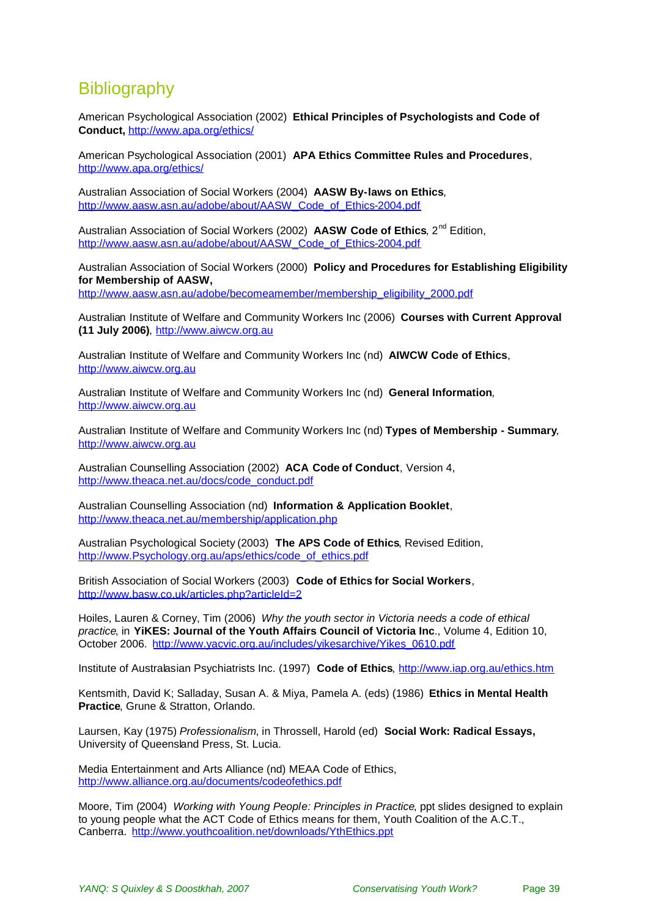# <span id="page-38-0"></span>**Bibliography**

American Psychological Association (2002) **Ethical Principles of Psychologists and Code of Conduct,** <http://www.apa.org/ethics/>

American Psychological Association (2001) **APA Ethics Committee Rules and Procedures**, <http://www.apa.org/ethics/>

Australian Association of Social Workers (2004) **AASW By-laws on Ethics**, [http://www.aasw.asn.au/adobe/about/AASW\\_Code\\_of\\_Ethics-2004.pdf](http://www.aasw.asn.au/adobe/about/AASW_Code_of_Ethics-2004.pdf)

Australian Association of Social Workers (2002) **AASW Code of Ethics**, 2nd Edition, [http://www.aasw.asn.au/adobe/about/AASW\\_Code\\_of\\_Ethics-2004.pdf](http://www.aasw.asn.au/adobe/about/AASW_Code_of_Ethics-2004.pdf)

Australian Association of Social Workers (2000) **Policy and Procedures for Establishing Eligibility for Membership of AASW,** [http://www.aasw.asn.au/adobe/becomeamember/membership\\_eligibility\\_2000.pdf](http://www.aasw.asn.au/adobe/becomeamember/membership_eligibility_2000.pdf)

Australian Institute of Welfare and Community Workers Inc (2006) **Courses with Current Approval (11 July 2006)**, [http://www.aiwcw.org.au](http://www.aiwcw.org.au/)

Australian Institute of Welfare and Community Workers Inc (nd) **AIWCW Code of Ethics**, [http://www.aiwcw.org.au](http://www.aiwcw.org.au/)

Australian Institute of Welfare and Community Workers Inc (nd) **General Information***,* [http://www.aiwcw.org.au](http://www.aiwcw.org.au/)

Australian Institute of Welfare and Community Workers Inc (nd) **Types of Membership - Summary***,* [http://www.aiwcw.org.au](http://www.aiwcw.org.au/)

Australian Counselling Association (2002) **ACA Code of Conduct**, Version 4, [http://www.theaca.net.au/docs/code\\_conduct.pdf](http://www.theaca.net.au/docs/code_conduct.pdf)

Australian Counselling Association (nd) **Information & Application Booklet**, <http://www.theaca.net.au/membership/application.php>

Australian Psychological Society (2003) **The APS Code of Ethics**, Revised Edition, [http://www.Psychology.org.au/aps/ethics/code\\_of\\_ethics.pdf](http://www.psychology.org.au/aps/ethics/code_of_ethics.pdf)

British Association of Social Workers (2003) **Code of Ethics for Social Workers**, <http://www.basw.co.uk/articles.php?articleId=2>

Hoiles, Lauren & Corney, Tim (2006) *Why the youth sector in Victoria needs a code of ethical practice*, in **YiKES: Journal of the Youth Affairs Council of Victoria Inc**., Volume 4, Edition 10, October 2006. [http://www.yacvic.org.au/includes/yikesarchive/Yikes\\_0610.pdf](http://www.yacvic.org.au/includes/yikesarchive/Yikes_0610.pdf)

Institute of Australasian Psychiatrists Inc. (1997) **Code of Ethics**, <http://www.iap.org.au/ethics.htm>

Kentsmith, David K; Salladay, Susan A. & Miya, Pamela A. (eds) (1986) **Ethics in Mental Health Practice**, Grune & Stratton, Orlando.

Laursen, Kay (1975) *Professionalism*, in Throssell, Harold (ed) **Social Work: Radical Essays,** University of Queensland Press, St. Lucia.

Media Entertainment and Arts Alliance (nd) MEAA Code of Ethics, <http://www.alliance.org.au/documents/codeofethics.pdf>

Moore, Tim (2004) *Working with Young People: Principles in Practice*, ppt slides designed to explain to young people what the ACT Code of Ethics means for them, Youth Coalition of the A.C.T., Canberra. <http://www.youthcoalition.net/downloads/YthEthics.ppt>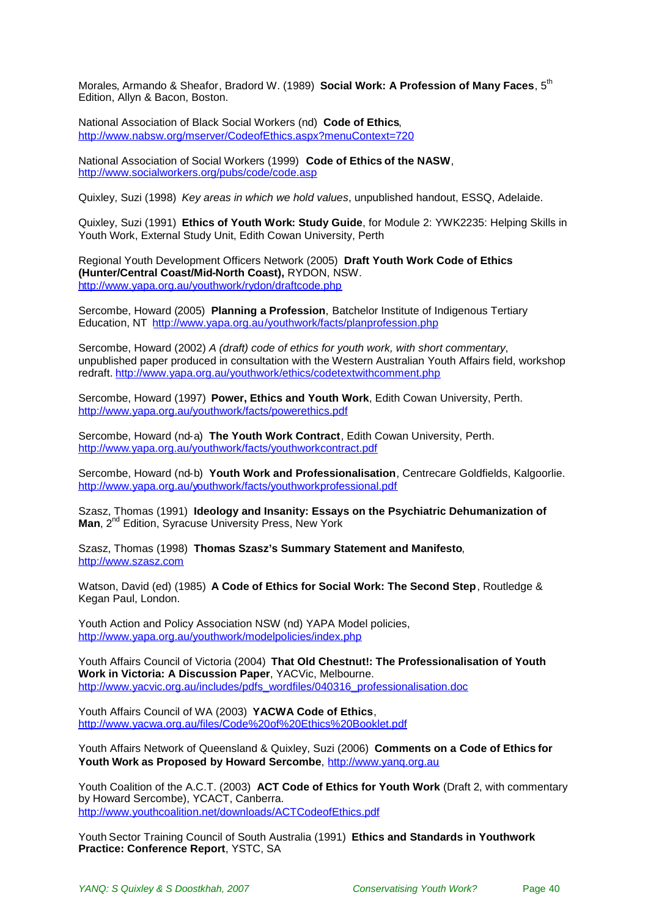Morales, Armando & Sheafor, Bradord W. (1989) **Social Work: A Profession of Many Faces**, 5th Edition, Allyn & Bacon, Boston.

National Association of Black Social Workers (nd) **Code of Ethics**, <http://www.nabsw.org/mserver/CodeofEthics.aspx?menuContext=720>

National Association of Social Workers (1999) **Code of Ethics of the NASW**, <http://www.socialworkers.org/pubs/code/code.asp>

Quixley, Suzi (1998) *Key areas in which we hold values*, unpublished handout, ESSQ, Adelaide.

Quixley, Suzi (1991) **Ethics of Youth Work: Study Guide**, for Module 2: YWK2235: Helping Skills in Youth Work, External Study Unit, Edith Cowan University, Perth

Regional Youth Development Officers Network (2005) **Draft Youth Work Code of Ethics (Hunter/Central Coast/Mid-North Coast),** RYDON, NSW. <http://www.yapa.org.au/youthwork/rydon/draftcode.php>

Sercombe, Howard (2005) **Planning a Profession**, Batchelor Institute of Indigenous Tertiary Education, NT <http://www.yapa.org.au/youthwork/facts/planprofession.php>

Sercombe, Howard (2002) *A (draft) code of ethics for youth work, with short commentary*, unpublished paper produced in consultation with the Western Australian Youth Affairs field, workshop redraft. <http://www.yapa.org.au/youthwork/ethics/codetextwithcomment.php>

Sercombe, Howard (1997) **Power, Ethics and Youth Work**, Edith Cowan University, Perth. <http://www.yapa.org.au/youthwork/facts/powerethics.pdf>

Sercombe, Howard (nd-a) **The Youth Work Contract**, Edith Cowan University, Perth. <http://www.yapa.org.au/youthwork/facts/youthworkcontract.pdf>

Sercombe, Howard (nd-b) **Youth Work and Professionalisation**, Centrecare Goldfields, Kalgoorlie. <http://www.yapa.org.au/youthwork/facts/youthworkprofessional.pdf>

Szasz, Thomas (1991) **Ideology and Insanity: Essays on the Psychiatric Dehumanization of** Man, 2<sup>nd</sup> Edition, Syracuse University Press, New York

Szasz, Thomas (1998) **Thomas Szasz's Summary Statement and Manifesto**, [http://www.szasz.com](http://www.szasz.com/)

Watson, David (ed) (1985) **A Code of Ethics for Social Work: The Second Step**, Routledge & Kegan Paul, London.

Youth Action and Policy Association NSW (nd) YAPA Model policies, <http://www.yapa.org.au/youthwork/modelpolicies/index.php>

Youth Affairs Council of Victoria (2004) **That Old Chestnut!: The Professionalisation of Youth Work in Victoria: A Discussion Paper**, YACVic, Melbourne. [http://www.yacvic.org.au/includes/pdfs\\_wordfiles/040316\\_professionalisation.doc](http://www.yacvic.org.au/includes/pdfs_wordfiles/040316_professionalisation.doc)

Youth Affairs Council of WA (2003) **YACWA Code of Ethics**, [http://www.yacwa.org.au/files/Code%20of%20Ethics%20Booklet.pdf](http://www.yacwa.org.au/files/Code of Ethics Booklet.pdf)

Youth Affairs Network of Queensland & Quixley, Suzi (2006) **Comments on a Code of Ethics for Youth Work as Proposed by Howard Sercombe**, [http://www.yanq.org.au](http://www.yanq.org.au/)

Youth Coalition of the A.C.T. (2003) **ACT Code of Ethics for Youth Work** (Draft 2, with commentary by Howard Sercombe), YCACT, Canberra. <http://www.youthcoalition.net/downloads/ACTCodeofEthics.pdf>

Youth Sector Training Council of South Australia (1991) **Ethics and Standards in Youthwork Practice: Conference Report**, YSTC, SA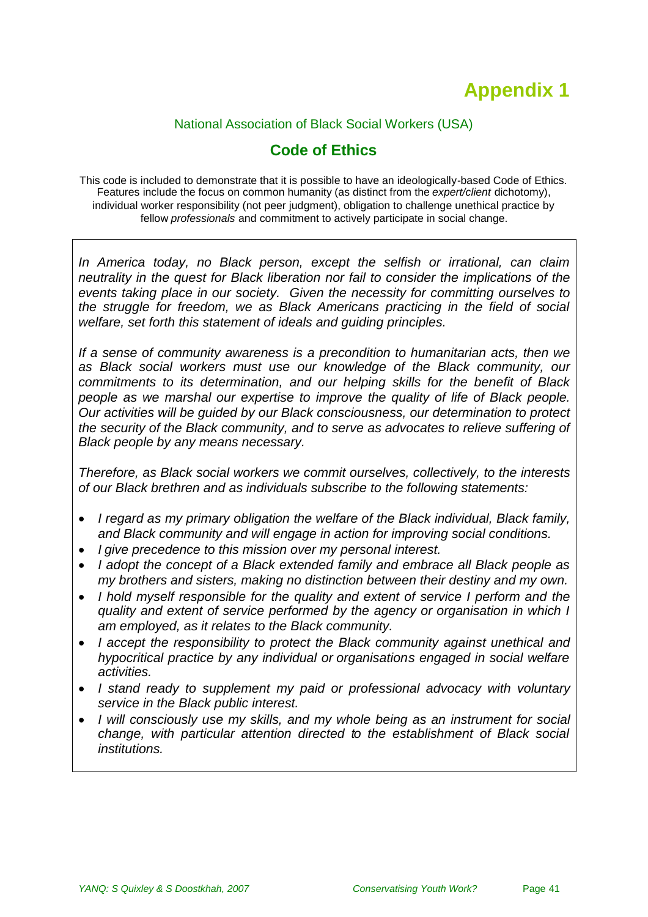# <span id="page-40-0"></span>**Appendix 1**

### National Association of Black Social Workers (USA)

### **Code of Ethics**

This code is included to demonstrate that it is possible to have an ideologically-based Code of Ethics. Features include the focus on common humanity (as distinct from the *expert/client* dichotomy), individual worker responsibility (not peer judgment), obligation to challenge unethical practice by fellow *professionals* and commitment to actively participate in social change.

*In America today, no Black person, except the selfish or irrational, can claim neutrality in the quest for Black liberation nor fail to consider the implications of the events taking place in our society. Given the necessity for committing ourselves to the struggle for freedom, we as Black Americans practicing in the field of social welfare, set forth this statement of ideals and guiding principles.*

*If a sense of community awareness is a precondition to humanitarian acts, then we as Black social workers must use our knowledge of the Black community, our commitments to its determination, and our helping skills for the benefit of Black people as we marshal our expertise to improve the quality of life of Black people. Our activities will be guided by our Black consciousness, our determination to protect the security of the Black community, and to serve as advocates to relieve suffering of Black people by any means necessary.*

*Therefore, as Black social workers we commit ourselves, collectively, to the interests of our Black brethren and as individuals subscribe to the following statements:*

- *I regard as my primary obligation the welfare of the Black individual, Black family, and Black community and will engage in action for improving social conditions.*
- *I give precedence to this mission over my personal interest.*
- *I adopt the concept of a Black extended family and embrace all Black people as my brothers and sisters, making no distinction between their destiny and my own.*
- *I hold myself responsible for the quality and extent of service I perform and the quality and extent of service performed by the agency or organisation in which I am employed, as it relates to the Black community.*
- *I accept the responsibility to protect the Black community against unethical and hypocritical practice by any individual or organisations engaged in social welfare activities.*
- *I stand ready to supplement my paid or professional advocacy with voluntary service in the Black public interest.*
- *I will consciously use my skills, and my whole being as an instrument for social change, with particular attention directed to the establishment of Black social institutions.*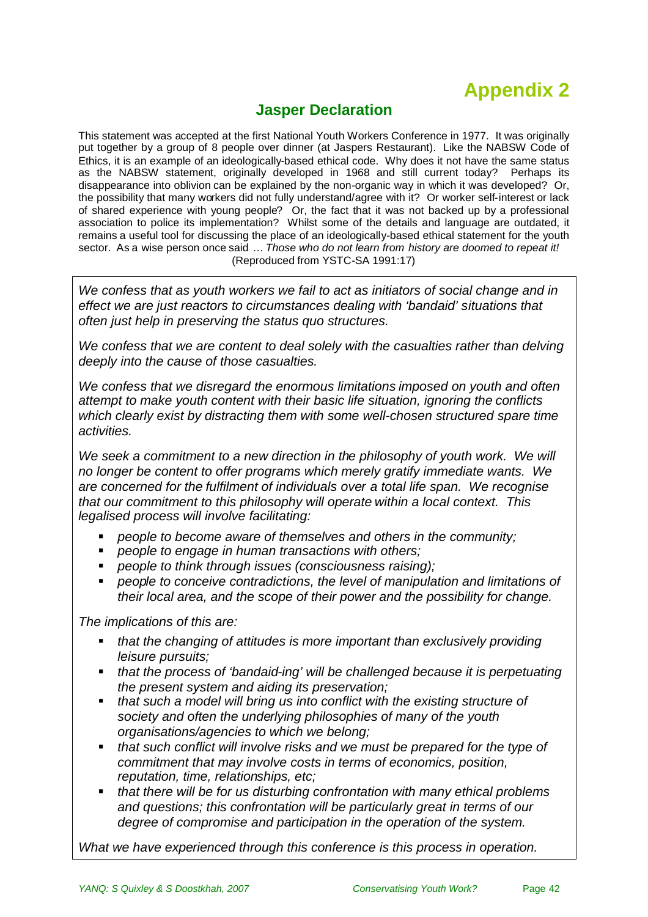# <span id="page-41-0"></span>**Appendix 2**

### **Jasper Declaration**

This statement was accepted at the first National Youth Workers Conference in 1977. It was originally put together by a group of 8 people over dinner (at Jaspers Restaurant). Like the NABSW Code of Ethics, it is an example of an ideologically-based ethical code. Why does it not have the same status as the NABSW statement, originally developed in 1968 and still current today? Perhaps its disappearance into oblivion can be explained by the non-organic way in which it was developed? Or, the possibility that many workers did not fully understand/agree with it? Or worker self-interest or lack of shared experience with young people? Or, the fact that it was not backed up by a professional association to police its implementation? Whilst some of the details and language are outdated, it remains a useful tool for discussing the place of an ideologically-based ethical statement for the youth sector. As a wise person once said … *Those who do not learn from history are doomed to repeat it!* (Reproduced from YSTC-SA 1991:17)

*We confess that as youth workers we fail to act as initiators of social change and in effect we are just reactors to circumstances dealing with 'bandaid' situations that often just help in preserving the status quo structures.*

*We confess that we are content to deal solely with the casualties rather than delving deeply into the cause of those casualties.*

*We confess that we disregard the enormous limitations imposed on youth and often attempt to make youth content with their basic life situation, ignoring the conflicts which clearly exist by distracting them with some well-chosen structured spare time activities.*

We seek a commitment to a new direction in the philosophy of youth work. We will *no longer be content to offer programs which merely gratify immediate wants. We are concerned for the fulfilment of individuals over a total life span. We recognise that our commitment to this philosophy will operate within a local context. This legalised process will involve facilitating:*

- *people to become aware of themselves and others in the community;*
- *people to engage in human transactions with others;*
- *people to think through issues (consciousness raising);*
- *people to conceive contradictions, the level of manipulation and limitations of their local area, and the scope of their power and the possibility for change.*

*The implications of this are:*

- *that the changing of attitudes is more important than exclusively providing leisure pursuits;*
- *that the process of 'bandaid-ing' will be challenged because it is perpetuating the present system and aiding its preservation;*
- *that such a model will bring us into conflict with the existing structure of society and often the underlying philosophies of many of the youth organisations/agencies to which we belong;*
- *that such conflict will involve risks and we must be prepared for the type of commitment that may involve costs in terms of economics, position, reputation, time, relationships, etc;*
- *that there will be for us disturbing confrontation with many ethical problems and questions; this confrontation will be particularly great in terms of our degree of compromise and participation in the operation of the system.*

*What we have experienced through this conference is this process in operation.*